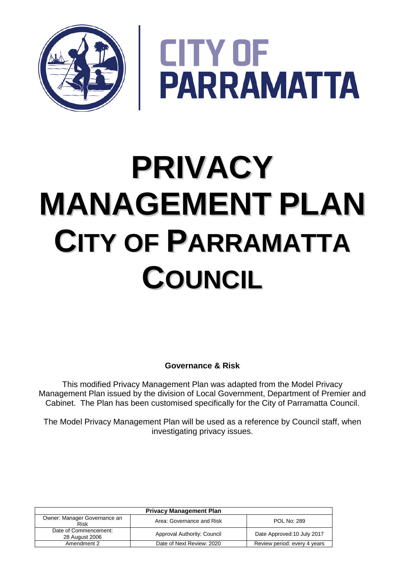

**CITY OF<br>PARRAMATTA** 

# **PRIVACY MANAGEMENT PLAN CITY OF PARRAMATTA COUNCIL**

**Governance & Risk**

This modified Privacy Management Plan was adapted from the Model Privacy Management Plan issued by the division of Local Government, Department of Premier and Cabinet. The Plan has been customised specifically for the City of Parramatta Council.

The Model Privacy Management Plan will be used as a reference by Council staff, when investigating privacy issues.

| <b>Privacy Management Plan</b>          |                             |                              |
|-----------------------------------------|-----------------------------|------------------------------|
| Owner: Manager Governance an<br>Risk    | Area: Governance and Risk   | <b>POL No: 289</b>           |
| Date of Commencement:<br>28 August 2006 | Approval Authority: Council | Date Approved: 10 July 2017  |
| Amendment 2                             | Date of Next Review: 2020   | Review period: every 4 years |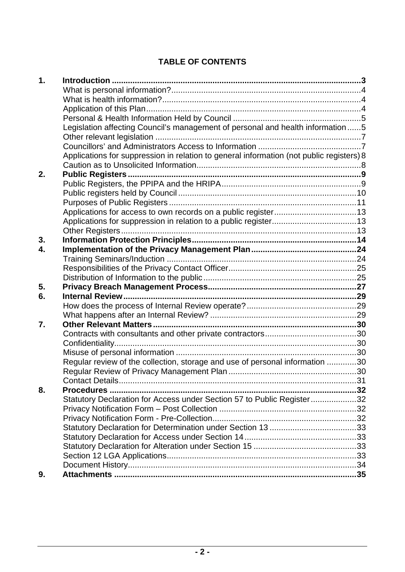## **TABLE OF CONTENTS**

| 1. |                                                                                          |  |
|----|------------------------------------------------------------------------------------------|--|
|    |                                                                                          |  |
|    |                                                                                          |  |
|    |                                                                                          |  |
|    |                                                                                          |  |
|    | Legislation affecting Council's management of personal and health information5           |  |
|    |                                                                                          |  |
|    |                                                                                          |  |
|    | Applications for suppression in relation to general information (not public registers) 8 |  |
|    |                                                                                          |  |
| 2. |                                                                                          |  |
|    |                                                                                          |  |
|    |                                                                                          |  |
|    |                                                                                          |  |
|    |                                                                                          |  |
|    |                                                                                          |  |
|    |                                                                                          |  |
| 3. |                                                                                          |  |
| 4. |                                                                                          |  |
|    |                                                                                          |  |
|    |                                                                                          |  |
|    |                                                                                          |  |
| 5. |                                                                                          |  |
| 6. |                                                                                          |  |
|    |                                                                                          |  |
|    |                                                                                          |  |
| 7. |                                                                                          |  |
|    |                                                                                          |  |
|    |                                                                                          |  |
|    |                                                                                          |  |
|    | Regular review of the collection, storage and use of personal information 30             |  |
|    |                                                                                          |  |
|    |                                                                                          |  |
| 8. | <b>Procedures.</b>                                                                       |  |
|    | Statutory Declaration for Access under Section 57 to Public Register32                   |  |
|    |                                                                                          |  |
|    |                                                                                          |  |
|    |                                                                                          |  |
|    |                                                                                          |  |
|    |                                                                                          |  |
|    |                                                                                          |  |
|    |                                                                                          |  |
| 9. |                                                                                          |  |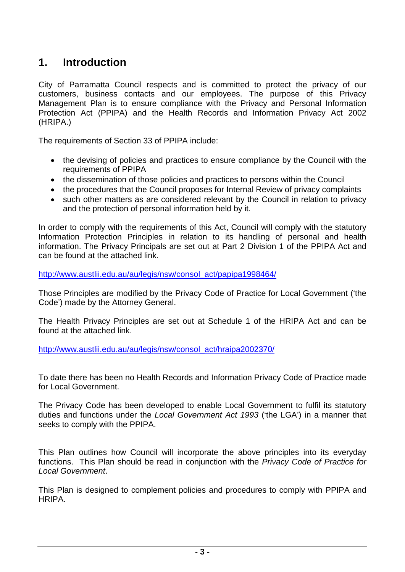# <span id="page-2-0"></span>**1. Introduction**

City of Parramatta Council respects and is committed to protect the privacy of our customers, business contacts and our employees. The purpose of this Privacy Management Plan is to ensure compliance with the Privacy and Personal Information Protection Act (PPIPA) and the Health Records and Information Privacy Act 2002 (HRIPA.)

The requirements of Section 33 of PPIPA include:

- the devising of policies and practices to ensure compliance by the Council with the requirements of PPIPA
- the dissemination of those policies and practices to persons within the Council
- the procedures that the Council proposes for Internal Review of privacy complaints
- such other matters as are considered relevant by the Council in relation to privacy and the protection of personal information held by it.

In order to comply with the requirements of this Act, Council will comply with the statutory Information Protection Principles in relation to its handling of personal and health information. The Privacy Principals are set out at Part 2 Division 1 of the PPIPA Act and can be found at the attached link.

[http://www.austlii.edu.au/au/legis/nsw/consol\\_act/papipa1998464/](http://www.austlii.edu.au/au/legis/nsw/consol_act/papipa1998464/)

Those Principles are modified by the Privacy Code of Practice for Local Government ('the Code') made by the Attorney General.

The Health Privacy Principles are set out at Schedule 1 of the HRIPA Act and can be found at the attached link.

[http://www.austlii.edu.au/au/legis/nsw/consol\\_act/hraipa2002370/](http://www.austlii.edu.au/au/legis/nsw/consol_act/hraipa2002370/)

To date there has been no Health Records and Information Privacy Code of Practice made for Local Government.

The Privacy Code has been developed to enable Local Government to fulfil its statutory duties and functions under the *Local Government Act 1993* ('the LGA') in a manner that seeks to comply with the PPIPA.

This Plan outlines how Council will incorporate the above principles into its everyday functions. This Plan should be read in conjunction with the *Privacy Code of Practice for Local Government*.

This Plan is designed to complement policies and procedures to comply with PPIPA and HRIPA.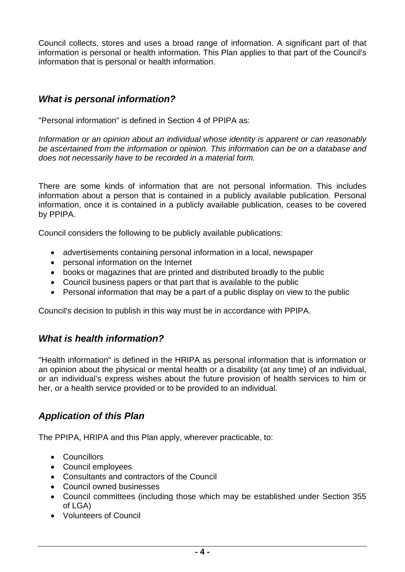Council collects, stores and uses a broad range of information. A significant part of that information is personal or health information. This Plan applies to that part of the Council's information that is personal or health information.

## <span id="page-3-0"></span>*What is personal information?*

"Personal information" is defined in Section 4 of PPIPA as:

*Information or an opinion about an individual whose identity is apparent or can reasonably be ascertained from the information or opinion. This information can be on a database and does not necessarily have to be recorded in a material form.* 

There are some kinds of information that are not personal information. This includes information about a person that is contained in a publicly available publication. Personal information, once it is contained in a publicly available publication, ceases to be covered by PPIPA.

Council considers the following to be publicly available publications:

- advertisements containing personal information in a local, newspaper
- personal information on the Internet
- books or magazines that are printed and distributed broadly to the public
- Council business papers or that part that is available to the public
- Personal information that may be a part of a public display on view to the public

Council's decision to publish in this way must be in accordance with PPIPA.

## <span id="page-3-1"></span>*What is health information?*

"Health information" is defined in the HRIPA as personal information that is information or an opinion about the physical or mental health or a disability (at any time) of an individual, or an individual's express wishes about the future provision of health services to him or her, or a health service provided or to be provided to an individual.

## <span id="page-3-2"></span>*Application of this Plan*

The PPIPA, HRIPA and this Plan apply, wherever practicable, to:

- Councillors
- Council employees
- Consultants and contractors of the Council
- Council owned businesses
- Council committees (including those which may be established under Section 355 of LGA)
- Volunteers of Council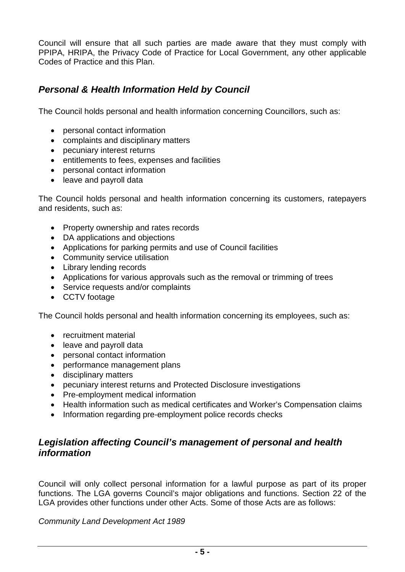Council will ensure that all such parties are made aware that they must comply with PPIPA, HRIPA, the Privacy Code of Practice for Local Government, any other applicable Codes of Practice and this Plan.

## <span id="page-4-0"></span>*Personal & Health Information Held by Council*

The Council holds personal and health information concerning Councillors, such as:

- personal contact information
- complaints and disciplinary matters
- pecuniary interest returns
- entitlements to fees, expenses and facilities
- personal contact information
- leave and payroll data

The Council holds personal and health information concerning its customers, ratepayers and residents, such as:

- Property ownership and rates records
- DA applications and objections
- Applications for parking permits and use of Council facilities
- Community service utilisation
- Library lending records
- Applications for various approvals such as the removal or trimming of trees
- Service requests and/or complaints
- CCTV footage

The Council holds personal and health information concerning its employees, such as:

- recruitment material
- leave and payroll data
- personal contact information
- performance management plans
- disciplinary matters
- pecuniary interest returns and Protected Disclosure investigations
- Pre-employment medical information
- Health information such as medical certificates and Worker's Compensation claims
- Information regarding pre-employment police records checks

#### <span id="page-4-1"></span>*Legislation affecting Council's management of personal and health information*

Council will only collect personal information for a lawful purpose as part of its proper functions. The LGA governs Council's major obligations and functions. Section 22 of the LGA provides other functions under other Acts. Some of those Acts are as follows:

*Community Land Development Act 1989*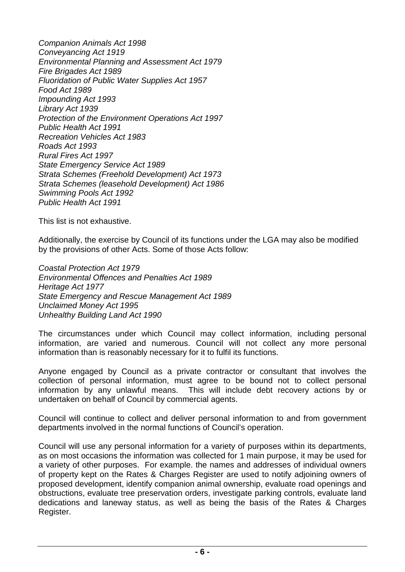*Companion Animals Act 1998 Conveyancing Act 1919 Environmental Planning and Assessment Act 1979 Fire Brigades Act 1989 Fluoridation of Public Water Supplies Act 1957 Food Act 1989 Impounding Act 1993 Library Act 1939 Protection of the Environment Operations Act 1997 Public Health Act 1991 Recreation Vehicles Act 1983 Roads Act 1993 Rural Fires Act 1997 State Emergency Service Act 1989 Strata Schemes (Freehold Development) Act 1973 Strata Schemes (leasehold Development) Act 1986 Swimming Pools Act 1992 Public Health Act 1991*

This list is not exhaustive.

Additionally, the exercise by Council of its functions under the LGA may also be modified by the provisions of other Acts. Some of those Acts follow:

*Coastal Protection Act 1979 Environmental Offences and Penalties Act 1989 Heritage Act 1977 State Emergency and Rescue Management Act 1989 Unclaimed Money Act 1995 Unhealthy Building Land Act 1990* 

The circumstances under which Council may collect information, including personal information, are varied and numerous. Council will not collect any more personal information than is reasonably necessary for it to fulfil its functions.

Anyone engaged by Council as a private contractor or consultant that involves the collection of personal information, must agree to be bound not to collect personal information by any unlawful means. This will include debt recovery actions by or undertaken on behalf of Council by commercial agents.

Council will continue to collect and deliver personal information to and from government departments involved in the normal functions of Council's operation.

Council will use any personal information for a variety of purposes within its departments, as on most occasions the information was collected for 1 main purpose, it may be used for a variety of other purposes. For example. the names and addresses of individual owners of property kept on the Rates & Charges Register are used to notify adjoining owners of proposed development, identify companion animal ownership, evaluate road openings and obstructions, evaluate tree preservation orders, investigate parking controls, evaluate land dedications and laneway status, as well as being the basis of the Rates & Charges Register.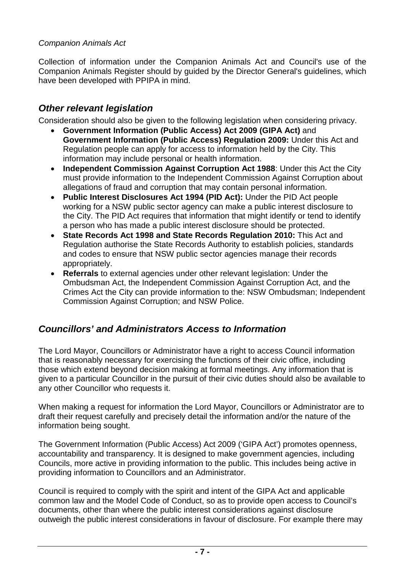#### *Companion Animals Act*

Collection of information under the Companion Animals Act and Council's use of the Companion Animals Register should by guided by the Director General's guidelines, which have been developed with PPIPA in mind.

## <span id="page-6-0"></span>*Other relevant legislation*

Consideration should also be given to the following legislation when considering privacy.

- **Government Information (Public Access) Act 2009 (GIPA Act)** and **Government Information (Public Access) Regulation 2009:** Under this Act and Regulation people can apply for access to information held by the City. This information may include personal or health information.
- **Independent Commission Against Corruption Act 1988**: Under this Act the City must provide information to the Independent Commission Against Corruption about allegations of fraud and corruption that may contain personal information.
- **Public Interest Disclosures Act 1994 (PID Act):** Under the PID Act people working for a NSW public sector agency can make a public interest disclosure to the City. The PID Act requires that information that might identify or tend to identify a person who has made a public interest disclosure should be protected.
- **State Records Act 1998 and State Records Regulation 2010:** This Act and Regulation authorise the State Records Authority to establish policies, standards and codes to ensure that NSW public sector agencies manage their records appropriately.
- **Referrals** to external agencies under other relevant legislation: Under the Ombudsman Act, the Independent Commission Against Corruption Act, and the Crimes Act the City can provide information to the: NSW Ombudsman; Independent Commission Against Corruption; and NSW Police.

## <span id="page-6-1"></span>*Councillors' and Administrators Access to Information*

The Lord Mayor, Councillors or Administrator have a right to access Council information that is reasonably necessary for exercising the functions of their civic office, including those which extend beyond decision making at formal meetings. Any information that is given to a particular Councillor in the pursuit of their civic duties should also be available to any other Councillor who requests it.

When making a request for information the Lord Mayor, Councillors or Administrator are to draft their request carefully and precisely detail the information and/or the nature of the information being sought.

The Government Information (Public Access) Act 2009 ('GIPA Act') promotes openness, accountability and transparency. It is designed to make government agencies, including Councils, more active in providing information to the public. This includes being active in providing information to Councillors and an Administrator.

Council is required to comply with the spirit and intent of the GIPA Act and applicable common law and the Model Code of Conduct, so as to provide open access to Council's documents, other than where the public interest considerations against disclosure outweigh the public interest considerations in favour of disclosure. For example there may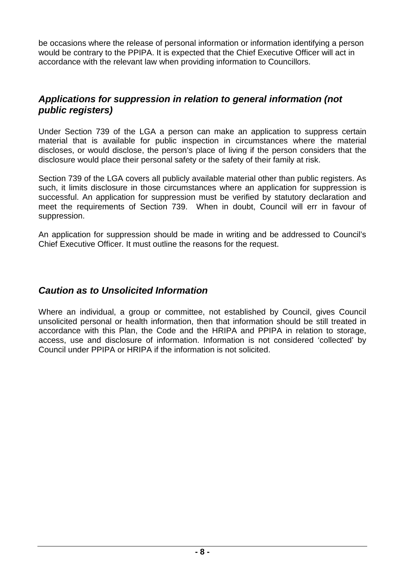be occasions where the release of personal information or information identifying a person would be contrary to the PPIPA. It is expected that the Chief Executive Officer will act in accordance with the relevant law when providing information to Councillors.

## <span id="page-7-0"></span>*Applications for suppression in relation to general information (not public registers)*

Under Section 739 of the LGA a person can make an application to suppress certain material that is available for public inspection in circumstances where the material discloses, or would disclose, the person's place of living if the person considers that the disclosure would place their personal safety or the safety of their family at risk.

Section 739 of the LGA covers all publicly available material other than public registers. As such, it limits disclosure in those circumstances where an application for suppression is successful. An application for suppression must be verified by statutory declaration and meet the requirements of Section 739. When in doubt, Council will err in favour of suppression.

An application for suppression should be made in writing and be addressed to Council's Chief Executive Officer. It must outline the reasons for the request.

## <span id="page-7-1"></span>*Caution as to Unsolicited Information*

Where an individual, a group or committee, not established by Council, gives Council unsolicited personal or health information, then that information should be still treated in accordance with this Plan, the Code and the HRIPA and PPIPA in relation to storage, access, use and disclosure of information. Information is not considered 'collected' by Council under PPIPA or HRIPA if the information is not solicited.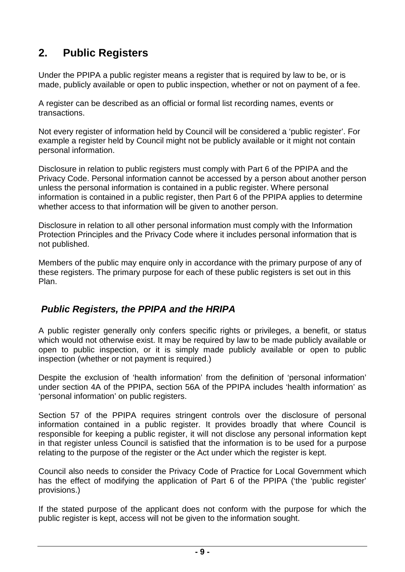# <span id="page-8-0"></span>**2. Public Registers**

Under the PPIPA a public register means a register that is required by law to be, or is made, publicly available or open to public inspection, whether or not on payment of a fee.

A register can be described as an official or formal list recording names, events or transactions.

Not every register of information held by Council will be considered a 'public register'. For example a register held by Council might not be publicly available or it might not contain personal information.

Disclosure in relation to public registers must comply with Part 6 of the PPIPA and the Privacy Code. Personal information cannot be accessed by a person about another person unless the personal information is contained in a public register. Where personal information is contained in a public register, then Part 6 of the PPIPA applies to determine whether access to that information will be given to another person.

Disclosure in relation to all other personal information must comply with the Information Protection Principles and the Privacy Code where it includes personal information that is not published.

Members of the public may enquire only in accordance with the primary purpose of any of these registers. The primary purpose for each of these public registers is set out in this Plan.

## <span id="page-8-1"></span>*Public Registers, the PPIPA and the HRIPA*

A public register generally only confers specific rights or privileges, a benefit, or status which would not otherwise exist. It may be required by law to be made publicly available or open to public inspection, or it is simply made publicly available or open to public inspection (whether or not payment is required.)

Despite the exclusion of 'health information' from the definition of 'personal information' under section 4A of the PPIPA, section 56A of the PPIPA includes 'health information' as 'personal information' on public registers.

Section 57 of the PPIPA requires stringent controls over the disclosure of personal information contained in a public register. It provides broadly that where Council is responsible for keeping a public register, it will not disclose any personal information kept in that register unless Council is satisfied that the information is to be used for a purpose relating to the purpose of the register or the Act under which the register is kept.

Council also needs to consider the Privacy Code of Practice for Local Government which has the effect of modifying the application of Part 6 of the PPIPA ('the 'public register' provisions.)

If the stated purpose of the applicant does not conform with the purpose for which the public register is kept, access will not be given to the information sought.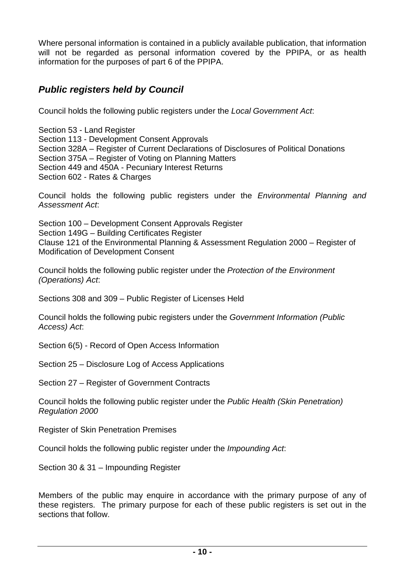Where personal information is contained in a publicly available publication, that information will not be regarded as personal information covered by the PPIPA, or as health information for the purposes of part 6 of the PPIPA.

## <span id="page-9-0"></span>*Public registers held by Council*

Council holds the following public registers under the *Local Government Act*:

Section 53 - Land Register Section 113 - Development Consent Approvals Section 328A – Register of Current Declarations of Disclosures of Political Donations Section 375A – Register of Voting on Planning Matters Section 449 and 450A - Pecuniary Interest Returns Section 602 - Rates & Charges

Council holds the following public registers under the *Environmental Planning and Assessment Act*:

Section 100 – Development Consent Approvals Register Section 149G – Building Certificates Register Clause 121 of the Environmental Planning & Assessment Regulation 2000 – Register of Modification of Development Consent

Council holds the following public register under the *Protection of the Environment (Operations) Act*:

Sections 308 and 309 – Public Register of Licenses Held

Council holds the following pubic registers under the *Government Information (Public Access) Act*:

Section 6(5) - Record of Open Access Information

Section 25 – Disclosure Log of Access Applications

Section 27 – Register of Government Contracts

Council holds the following public register under the *Public Health (Skin Penetration) Regulation 2000*

Register of Skin Penetration Premises

Council holds the following public register under the *Impounding Act*:

Section 30 & 31 – Impounding Register

Members of the public may enquire in accordance with the primary purpose of any of these registers. The primary purpose for each of these public registers is set out in the sections that follow.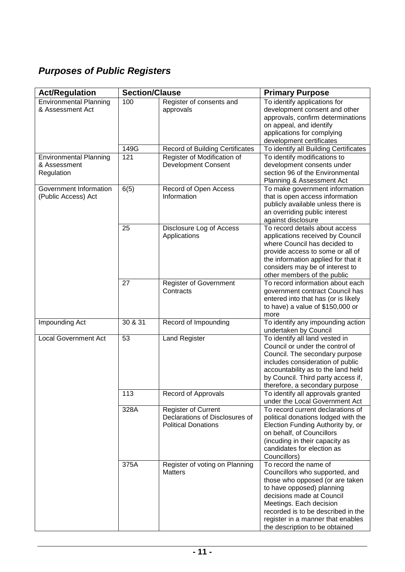# <span id="page-10-0"></span>*Purposes of Public Registers*

| <b>Act/Regulation</b>                                       | <b>Section/Clause</b> |                                                                                            | <b>Primary Purpose</b>                                                                                                                                                                                                                                                                       |
|-------------------------------------------------------------|-----------------------|--------------------------------------------------------------------------------------------|----------------------------------------------------------------------------------------------------------------------------------------------------------------------------------------------------------------------------------------------------------------------------------------------|
| <b>Environmental Planning</b><br>& Assessment Act           | 100                   | Register of consents and<br>approvals                                                      | To identify applications for<br>development consent and other<br>approvals, confirm determinations<br>on appeal, and identify<br>applications for complying<br>development certificates                                                                                                      |
|                                                             | 149G                  | <b>Record of Building Certificates</b>                                                     | To identify all Building Certificates                                                                                                                                                                                                                                                        |
| <b>Environmental Planning</b><br>& Assessment<br>Regulation | 121                   | Register of Modification of<br><b>Development Consent</b>                                  | To identify modifications to<br>development consents under<br>section 96 of the Environmental<br>Planning & Assessment Act                                                                                                                                                                   |
| Government Information<br>(Public Access) Act               | 6(5)                  | Record of Open Access<br>Information                                                       | To make government information<br>that is open access information<br>publicly available unless there is<br>an overriding public interest<br>against disclosure                                                                                                                               |
|                                                             | 25                    | Disclosure Log of Access<br>Applications                                                   | To record details about access<br>applications received by Council<br>where Council has decided to<br>provide access to some or all of<br>the information applied for that it<br>considers may be of interest to<br>other members of the public                                              |
|                                                             | 27                    | <b>Register of Government</b><br>Contracts                                                 | To record information about each<br>government contract Council has<br>entered into that has (or is likely<br>to have) a value of \$150,000 or<br>more                                                                                                                                       |
| Impounding Act                                              | 30 & 31               | Record of Impounding                                                                       | To identify any impounding action<br>undertaken by Council                                                                                                                                                                                                                                   |
| <b>Local Government Act</b>                                 | 53                    | <b>Land Register</b>                                                                       | To identify all land vested in<br>Council or under the control of<br>Council. The secondary purpose<br>includes consideration of public<br>accountability as to the land held<br>by Council. Third party access if,<br>therefore, a secondary purpose                                        |
|                                                             | 113                   | Record of Approvals                                                                        | To identify all approvals granted<br>under the Local Government Act                                                                                                                                                                                                                          |
|                                                             | 328A                  | <b>Register of Current</b><br>Declarations of Disclosures of<br><b>Political Donations</b> | To record current declarations of<br>political donations lodged with the<br>Election Funding Authority by, or<br>on behalf, of Councillors<br>(incuding in their capacity as<br>candidates for election as<br>Councillors)                                                                   |
|                                                             | 375A                  | Register of voting on Planning<br><b>Matters</b>                                           | To record the name of<br>Councillors who supported, and<br>those who opposed (or are taken<br>to have opposed) planning<br>decisions made at Council<br>Meetings. Each decision<br>recorded is to be described in the<br>register in a manner that enables<br>the description to be obtained |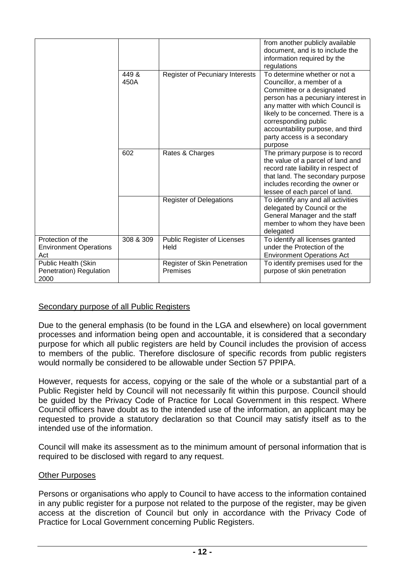|                                                           |               |                                          | from another publicly available<br>document, and is to include the<br>information required by the<br>regulations                                                                                                                                                                                               |
|-----------------------------------------------------------|---------------|------------------------------------------|----------------------------------------------------------------------------------------------------------------------------------------------------------------------------------------------------------------------------------------------------------------------------------------------------------------|
|                                                           | 449 &<br>450A | Register of Pecuniary Interests          | To determine whether or not a<br>Councillor, a member of a<br>Committee or a designated<br>person has a pecuniary interest in<br>any matter with which Council is<br>likely to be concerned. There is a<br>corresponding public<br>accountability purpose, and third<br>party access is a secondary<br>purpose |
|                                                           | 602           | Rates & Charges                          | The primary purpose is to record<br>the value of a parcel of land and<br>record rate liability in respect of<br>that land. The secondary purpose<br>includes recording the owner or<br>lessee of each parcel of land.                                                                                          |
|                                                           |               | <b>Register of Delegations</b>           | To identify any and all activities<br>delegated by Council or the<br>General Manager and the staff<br>member to whom they have been<br>delegated                                                                                                                                                               |
| Protection of the<br><b>Environment Operations</b><br>Act | 308 & 309     | Public Register of Licenses<br>Held      | To identify all licenses granted<br>under the Protection of the<br><b>Environment Operations Act</b>                                                                                                                                                                                                           |
| Public Health (Skin<br>Penetration) Regulation<br>2000    |               | Register of Skin Penetration<br>Premises | To identify premises used for the<br>purpose of skin penetration                                                                                                                                                                                                                                               |

#### Secondary purpose of all Public Registers

Due to the general emphasis (to be found in the LGA and elsewhere) on local government processes and information being open and accountable, it is considered that a secondary purpose for which all public registers are held by Council includes the provision of access to members of the public. Therefore disclosure of specific records from public registers would normally be considered to be allowable under Section 57 PPIPA.

However, requests for access, copying or the sale of the whole or a substantial part of a Public Register held by Council will not necessarily fit within this purpose. Council should be guided by the Privacy Code of Practice for Local Government in this respect. Where Council officers have doubt as to the intended use of the information, an applicant may be requested to provide a statutory declaration so that Council may satisfy itself as to the intended use of the information.

Council will make its assessment as to the minimum amount of personal information that is required to be disclosed with regard to any request.

#### Other Purposes

Persons or organisations who apply to Council to have access to the information contained in any public register for a purpose not related to the purpose of the register, may be given access at the discretion of Council but only in accordance with the Privacy Code of Practice for Local Government concerning Public Registers.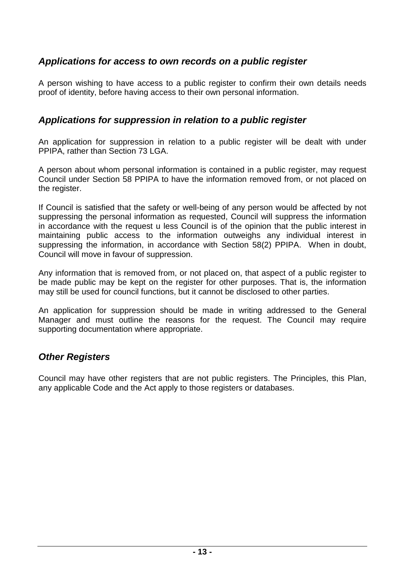## <span id="page-12-0"></span>*Applications for access to own records on a public register*

A person wishing to have access to a public register to confirm their own details needs proof of identity, before having access to their own personal information.

#### <span id="page-12-1"></span>*Applications for suppression in relation to a public register*

An application for suppression in relation to a public register will be dealt with under PPIPA, rather than Section 73 LGA.

A person about whom personal information is contained in a public register, may request Council under Section 58 PPIPA to have the information removed from, or not placed on the register.

If Council is satisfied that the safety or well-being of any person would be affected by not suppressing the personal information as requested, Council will suppress the information in accordance with the request u less Council is of the opinion that the public interest in maintaining public access to the information outweighs any individual interest in suppressing the information, in accordance with Section 58(2) PPIPA. When in doubt, Council will move in favour of suppression.

Any information that is removed from, or not placed on, that aspect of a public register to be made public may be kept on the register for other purposes. That is, the information may still be used for council functions, but it cannot be disclosed to other parties.

An application for suppression should be made in writing addressed to the General Manager and must outline the reasons for the request. The Council may require supporting documentation where appropriate.

## <span id="page-12-2"></span>*Other Registers*

Council may have other registers that are not public registers. The Principles, this Plan, any applicable Code and the Act apply to those registers or databases.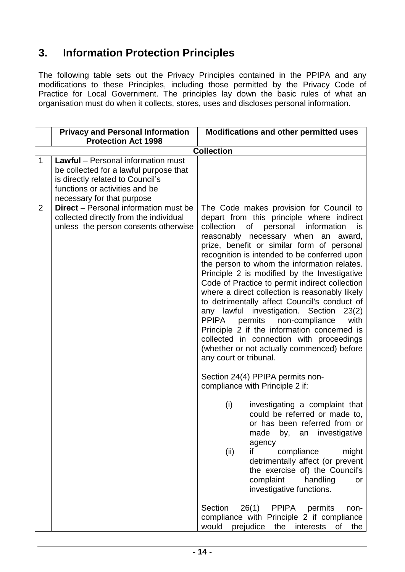# <span id="page-13-0"></span>**3. Information Protection Principles**

The following table sets out the Privacy Principles contained in the PPIPA and any modifications to these Principles, including those permitted by the Privacy Code of Practice for Local Government. The principles lay down the basic rules of what an organisation must do when it collects, stores, uses and discloses personal information.

|                | <b>Privacy and Personal Information</b><br><b>Protection Act 1998</b>                                                                                                            | <b>Modifications and other permitted uses</b>                                                                                                                                                                                                                                                                                                                                                                                                                                                                                                                                                                                                                                                                                                                                                                                                                                                                                                               |
|----------------|----------------------------------------------------------------------------------------------------------------------------------------------------------------------------------|-------------------------------------------------------------------------------------------------------------------------------------------------------------------------------------------------------------------------------------------------------------------------------------------------------------------------------------------------------------------------------------------------------------------------------------------------------------------------------------------------------------------------------------------------------------------------------------------------------------------------------------------------------------------------------------------------------------------------------------------------------------------------------------------------------------------------------------------------------------------------------------------------------------------------------------------------------------|
|                |                                                                                                                                                                                  | <b>Collection</b>                                                                                                                                                                                                                                                                                                                                                                                                                                                                                                                                                                                                                                                                                                                                                                                                                                                                                                                                           |
| $\mathbf{1}$   | Lawful - Personal information must<br>be collected for a lawful purpose that<br>is directly related to Council's<br>functions or activities and be<br>necessary for that purpose |                                                                                                                                                                                                                                                                                                                                                                                                                                                                                                                                                                                                                                                                                                                                                                                                                                                                                                                                                             |
| $\overline{2}$ | <b>Direct - Personal information must be</b><br>collected directly from the individual<br>unless the person consents otherwise                                                   | The Code makes provision for Council to<br>depart from this principle where indirect<br>collection<br>of<br>personal<br>information<br>is<br>reasonably necessary when<br>an award,<br>prize, benefit or similar form of personal<br>recognition is intended to be conferred upon<br>the person to whom the information relates.<br>Principle 2 is modified by the Investigative<br>Code of Practice to permit indirect collection<br>where a direct collection is reasonably likely<br>to detrimentally affect Council's conduct of<br>any lawful investigation. Section<br>23(2)<br>permits<br><b>PPIPA</b><br>non-compliance<br>with<br>Principle 2 if the information concerned is<br>collected in connection with proceedings<br>(whether or not actually commenced) before<br>any court or tribunal.<br>Section 24(4) PPIPA permits non-<br>compliance with Principle 2 if:<br>(i)<br>investigating a complaint that<br>could be referred or made to, |
|                |                                                                                                                                                                                  | or has been referred from or<br>made<br>investigative<br>by,<br>an<br>agency<br>(ii)<br>compliance<br>might<br>if<br>detrimentally affect (or prevent<br>the exercise of) the Council's<br>complaint<br>handling<br>or<br>investigative functions.                                                                                                                                                                                                                                                                                                                                                                                                                                                                                                                                                                                                                                                                                                          |
|                |                                                                                                                                                                                  | Section<br>26(1)<br><b>PPIPA</b><br>permits<br>non-<br>compliance with Principle 2 if compliance<br>would<br>interests<br>prejudice<br>the<br>of<br>the                                                                                                                                                                                                                                                                                                                                                                                                                                                                                                                                                                                                                                                                                                                                                                                                     |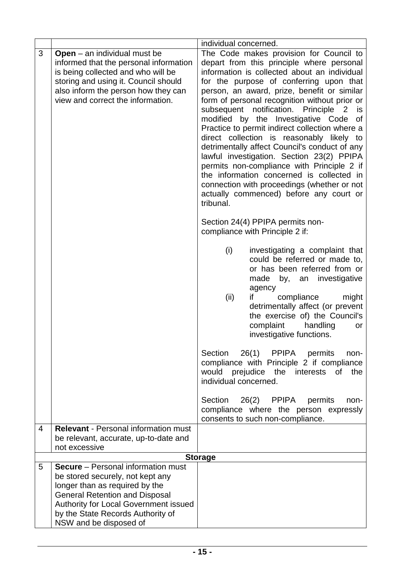|   |                                                                                                                                                                                                                                                                  | individual concerned.                                                                                                                                                                                                                                                                                                                                                                                                                                                                                                                                                                                                                                                                                                                                                 |
|---|------------------------------------------------------------------------------------------------------------------------------------------------------------------------------------------------------------------------------------------------------------------|-----------------------------------------------------------------------------------------------------------------------------------------------------------------------------------------------------------------------------------------------------------------------------------------------------------------------------------------------------------------------------------------------------------------------------------------------------------------------------------------------------------------------------------------------------------------------------------------------------------------------------------------------------------------------------------------------------------------------------------------------------------------------|
| 3 | <b>Open</b> $-$ an individual must be<br>informed that the personal information<br>is being collected and who will be<br>storing and using it. Council should<br>also inform the person how they can<br>view and correct the information.                        | The Code makes provision for Council to<br>depart from this principle where personal<br>information is collected about an individual<br>for the purpose of conferring upon that<br>person, an award, prize, benefit or similar<br>form of personal recognition without prior or<br>subsequent notification. Principle 2<br>is<br>modified by the Investigative Code of<br>Practice to permit indirect collection where a<br>direct collection is reasonably likely to<br>detrimentally affect Council's conduct of any<br>lawful investigation. Section 23(2) PPIPA<br>permits non-compliance with Principle 2 if<br>the information concerned is collected in<br>connection with proceedings (whether or not<br>actually commenced) before any court or<br>tribunal. |
|   |                                                                                                                                                                                                                                                                  | Section 24(4) PPIPA permits non-<br>compliance with Principle 2 if:                                                                                                                                                                                                                                                                                                                                                                                                                                                                                                                                                                                                                                                                                                   |
|   |                                                                                                                                                                                                                                                                  | (i)<br>investigating a complaint that<br>could be referred or made to,<br>or has been referred from or<br>an investigative<br>made<br>by,<br>agency<br>compliance<br>if<br>might<br>(ii)<br>detrimentally affect (or prevent<br>the exercise of) the Council's<br>complaint<br>handling<br>or<br>investigative functions.                                                                                                                                                                                                                                                                                                                                                                                                                                             |
|   |                                                                                                                                                                                                                                                                  | 26(1) PPIPA permits<br>Section<br>non-<br>compliance with Principle 2 if compliance<br>would prejudice the interests<br>the<br>0f<br>individual concerned.                                                                                                                                                                                                                                                                                                                                                                                                                                                                                                                                                                                                            |
|   |                                                                                                                                                                                                                                                                  | 26(2) PPIPA<br>Section<br>permits<br>non-<br>compliance where the person expressly<br>consents to such non-compliance.                                                                                                                                                                                                                                                                                                                                                                                                                                                                                                                                                                                                                                                |
| 4 | <b>Relevant - Personal information must</b><br>be relevant, accurate, up-to-date and<br>not excessive                                                                                                                                                            |                                                                                                                                                                                                                                                                                                                                                                                                                                                                                                                                                                                                                                                                                                                                                                       |
|   |                                                                                                                                                                                                                                                                  | <b>Storage</b>                                                                                                                                                                                                                                                                                                                                                                                                                                                                                                                                                                                                                                                                                                                                                        |
| 5 | <b>Secure</b> – Personal information must<br>be stored securely, not kept any<br>longer than as required by the<br><b>General Retention and Disposal</b><br>Authority for Local Government issued<br>by the State Records Authority of<br>NSW and be disposed of |                                                                                                                                                                                                                                                                                                                                                                                                                                                                                                                                                                                                                                                                                                                                                                       |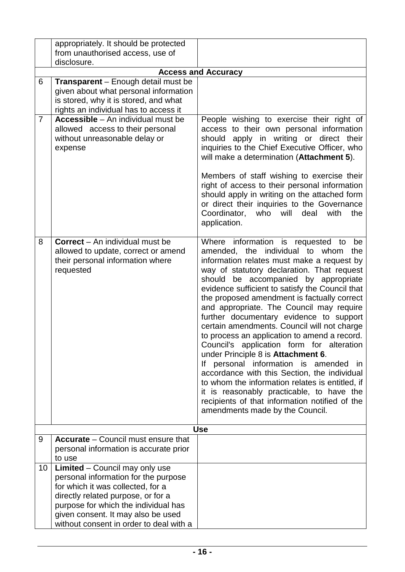|                     | appropriately. It should be protected<br>from unauthorised access, use of                                                                                                                                                                                                  |                                                                                                                                                                                                                                                                                                                                                                                                                                                                                                                                                                                                                                                                                                                                                                                                                                                                                       |
|---------------------|----------------------------------------------------------------------------------------------------------------------------------------------------------------------------------------------------------------------------------------------------------------------------|---------------------------------------------------------------------------------------------------------------------------------------------------------------------------------------------------------------------------------------------------------------------------------------------------------------------------------------------------------------------------------------------------------------------------------------------------------------------------------------------------------------------------------------------------------------------------------------------------------------------------------------------------------------------------------------------------------------------------------------------------------------------------------------------------------------------------------------------------------------------------------------|
|                     | disclosure.                                                                                                                                                                                                                                                                |                                                                                                                                                                                                                                                                                                                                                                                                                                                                                                                                                                                                                                                                                                                                                                                                                                                                                       |
|                     |                                                                                                                                                                                                                                                                            | <b>Access and Accuracy</b>                                                                                                                                                                                                                                                                                                                                                                                                                                                                                                                                                                                                                                                                                                                                                                                                                                                            |
| 6<br>$\overline{7}$ | Transparent - Enough detail must be<br>given about what personal information<br>is stored, why it is stored, and what<br>rights an individual has to access it<br><b>Accessible</b> – An individual must be                                                                | People wishing to exercise their right of                                                                                                                                                                                                                                                                                                                                                                                                                                                                                                                                                                                                                                                                                                                                                                                                                                             |
|                     | allowed access to their personal<br>without unreasonable delay or<br>expense                                                                                                                                                                                               | access to their own personal information<br>should apply in writing or direct their<br>inquiries to the Chief Executive Officer, who<br>will make a determination (Attachment 5).<br>Members of staff wishing to exercise their<br>right of access to their personal information<br>should apply in writing on the attached form<br>or direct their inquiries to the Governance<br>Coordinator,<br>who will<br>deal<br>with<br>the<br>application.                                                                                                                                                                                                                                                                                                                                                                                                                                    |
| 8                   | <b>Correct</b> – An individual must be<br>allowed to update, correct or amend<br>their personal information where<br>requested                                                                                                                                             | Where information is requested to<br>be<br>amended, the individual to whom<br>the<br>information relates must make a request by<br>way of statutory declaration. That request<br>should be accompanied by appropriate<br>evidence sufficient to satisfy the Council that<br>the proposed amendment is factually correct<br>and appropriate. The Council may require<br>further documentary evidence to support<br>certain amendments. Council will not charge<br>to process an application to amend a record.<br>Council's application form for alteration<br>under Principle 8 is Attachment 6.<br>personal information is amended<br>lf<br>in.<br>accordance with this Section, the individual<br>to whom the information relates is entitled, if<br>it is reasonably practicable, to have the<br>recipients of that information notified of the<br>amendments made by the Council. |
|                     |                                                                                                                                                                                                                                                                            | <b>Use</b>                                                                                                                                                                                                                                                                                                                                                                                                                                                                                                                                                                                                                                                                                                                                                                                                                                                                            |
| 9                   | <b>Accurate</b> – Council must ensure that<br>personal information is accurate prior<br>to use                                                                                                                                                                             |                                                                                                                                                                                                                                                                                                                                                                                                                                                                                                                                                                                                                                                                                                                                                                                                                                                                                       |
| 10                  | Limited - Council may only use<br>personal information for the purpose<br>for which it was collected, for a<br>directly related purpose, or for a<br>purpose for which the individual has<br>given consent. It may also be used<br>without consent in order to deal with a |                                                                                                                                                                                                                                                                                                                                                                                                                                                                                                                                                                                                                                                                                                                                                                                                                                                                                       |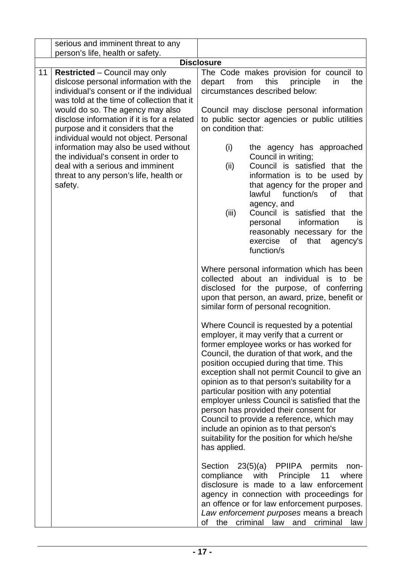| serious and imminent threat to any                                                                                                                                                                                                                                                                                                               |                                                                                                                                                                                                                                                                                                                                                                                                                                                                                                                                                                                                                                                                                                                                                                                                                                                                                                                                                                                                                                                                                                                                                                                                        |
|--------------------------------------------------------------------------------------------------------------------------------------------------------------------------------------------------------------------------------------------------------------------------------------------------------------------------------------------------|--------------------------------------------------------------------------------------------------------------------------------------------------------------------------------------------------------------------------------------------------------------------------------------------------------------------------------------------------------------------------------------------------------------------------------------------------------------------------------------------------------------------------------------------------------------------------------------------------------------------------------------------------------------------------------------------------------------------------------------------------------------------------------------------------------------------------------------------------------------------------------------------------------------------------------------------------------------------------------------------------------------------------------------------------------------------------------------------------------------------------------------------------------------------------------------------------------|
| person's life, health or safety.                                                                                                                                                                                                                                                                                                                 |                                                                                                                                                                                                                                                                                                                                                                                                                                                                                                                                                                                                                                                                                                                                                                                                                                                                                                                                                                                                                                                                                                                                                                                                        |
|                                                                                                                                                                                                                                                                                                                                                  | <b>Disclosure</b>                                                                                                                                                                                                                                                                                                                                                                                                                                                                                                                                                                                                                                                                                                                                                                                                                                                                                                                                                                                                                                                                                                                                                                                      |
| <b>Restricted</b> – Council may only<br>11<br>dislcose personal information with the<br>individual's consent or if the individual<br>was told at the time of collection that it<br>would do so. The agency may also<br>disclose information if it is for a related<br>purpose and it considers that the<br>individual would not object. Personal | The Code makes provision for council to<br>depart<br>from<br>this<br>principle<br>in<br>the<br>circumstances described below:<br>Council may disclose personal information<br>to public sector agencies or public utilities<br>on condition that:                                                                                                                                                                                                                                                                                                                                                                                                                                                                                                                                                                                                                                                                                                                                                                                                                                                                                                                                                      |
| information may also be used without<br>the individual's consent in order to<br>deal with a serious and imminent<br>threat to any person's life, health or<br>safety.                                                                                                                                                                            | (i)<br>the agency has approached<br>Council in writing;<br>Council is satisfied that the<br>(ii)<br>information is to be used by<br>that agency for the proper and<br>lawful<br>function/s<br><b>of</b><br>that<br>agency, and<br>Council is satisfied that the<br>(iii)<br>information<br>personal<br>is.<br>reasonably necessary for the<br>exercise<br>of<br>that agency's<br>function/s                                                                                                                                                                                                                                                                                                                                                                                                                                                                                                                                                                                                                                                                                                                                                                                                            |
|                                                                                                                                                                                                                                                                                                                                                  | Where personal information which has been<br>collected about an individual<br>is to be<br>disclosed for the purpose, of conferring<br>upon that person, an award, prize, benefit or<br>similar form of personal recognition.<br>Where Council is requested by a potential<br>employer, it may verify that a current or<br>former employee works or has worked for<br>Council, the duration of that work, and the<br>position occupied during that time. This<br>exception shall not permit Council to give an<br>opinion as to that person's suitability for a<br>particular position with any potential<br>employer unless Council is satisfied that the<br>person has provided their consent for<br>Council to provide a reference, which may<br>include an opinion as to that person's<br>suitability for the position for which he/she<br>has applied.<br>23(5)(a) PPIIPA permits<br>Section<br>non-<br>compliance<br>with<br>Principle<br>11<br>where<br>disclosure is made to a law enforcement<br>agency in connection with proceedings for<br>an offence or for law enforcement purposes.<br>Law enforcement purposes means a breach<br>criminal<br>law<br>of<br>the<br>and<br>criminal<br>law |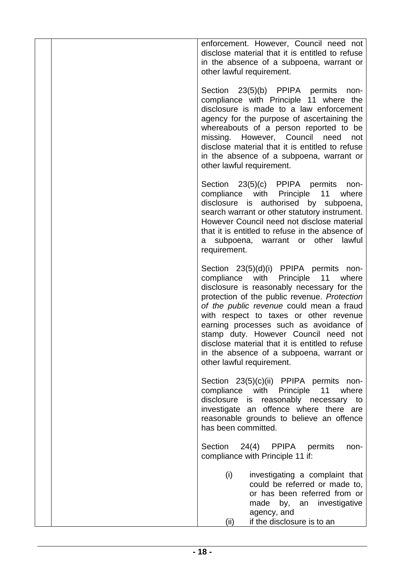| enforcement. However, Council need not<br>disclose material that it is entitled to refuse<br>in the absence of a subpoena, warrant or<br>other lawful requirement.                                                                                                                                                                                                                                                                                                                   |
|--------------------------------------------------------------------------------------------------------------------------------------------------------------------------------------------------------------------------------------------------------------------------------------------------------------------------------------------------------------------------------------------------------------------------------------------------------------------------------------|
| Section 23(5)(b) PPIPA permits<br>non-<br>compliance with Principle 11 where the<br>disclosure is made to a law enforcement<br>agency for the purpose of ascertaining the<br>whereabouts of a person reported to be<br>missing. However, Council need<br>not<br>disclose material that it is entitled to refuse<br>in the absence of a subpoena, warrant or<br>other lawful requirement.                                                                                             |
| Section 23(5)(c) PPIPA permits<br>non-<br>compliance with Principle 11<br>where<br>disclosure is authorised by subpoena,<br>search warrant or other statutory instrument.<br>However Council need not disclose material<br>that it is entitled to refuse in the absence of<br>subpoena, warrant or other<br>lawful<br>a -<br>requirement.                                                                                                                                            |
| Section 23(5)(d)(i) PPIPA permits non-<br>compliance with Principle<br>11<br>where<br>disclosure is reasonably necessary for the<br>protection of the public revenue. Protection<br>of the public revenue could mean a fraud<br>with respect to taxes or other revenue<br>earning processes such as avoidance of<br>stamp duty. However Council need not<br>disclose material that it is entitled to refuse<br>in the absence of a subpoena, warrant or<br>other lawful requirement. |
| Section 23(5)(c)(ii) PPIPA permits non-<br>compliance with Principle<br>11<br>where<br>disclosure is<br>reasonably necessary to<br>investigate an offence where there are<br>reasonable grounds to believe an offence<br>has been committed.                                                                                                                                                                                                                                         |
| Section<br>24(4) PPIPA permits<br>non-<br>compliance with Principle 11 if:                                                                                                                                                                                                                                                                                                                                                                                                           |
| (i)<br>investigating a complaint that<br>could be referred or made to,<br>or has been referred from or<br>by, an investigative<br>made<br>agency, and<br>if the disclosure is to an<br>(ii)                                                                                                                                                                                                                                                                                          |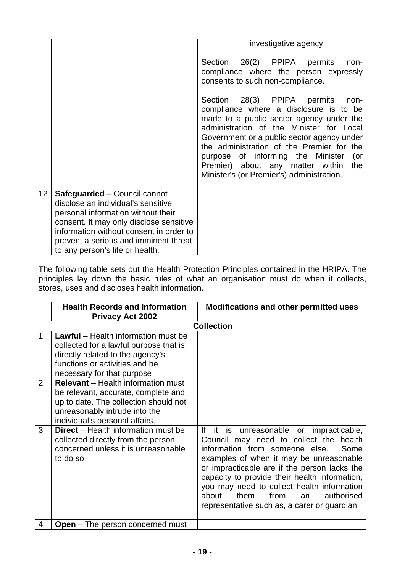|                 |                                                                                    | investigative agency                                                                                                                                                                                                                                                                                                                                                                                 |
|-----------------|------------------------------------------------------------------------------------|------------------------------------------------------------------------------------------------------------------------------------------------------------------------------------------------------------------------------------------------------------------------------------------------------------------------------------------------------------------------------------------------------|
|                 |                                                                                    | Section 26(2) PPIPA permits<br>non-<br>compliance where the person expressly<br>consents to such non-compliance.                                                                                                                                                                                                                                                                                     |
|                 |                                                                                    | Section 28(3) PPIPA permits<br>non-<br>compliance where a disclosure is to be<br>made to a public sector agency under the<br>administration of the Minister for Local<br>Government or a public sector agency under<br>the administration of the Premier for the<br>purpose of informing the Minister<br>(or<br>Premier) about any matter within<br>the<br>Minister's (or Premier's) administration. |
| 12 <sub>2</sub> | Safeguarded - Council cannot<br>disclose an individual's sensitive                 |                                                                                                                                                                                                                                                                                                                                                                                                      |
|                 | personal information without their                                                 |                                                                                                                                                                                                                                                                                                                                                                                                      |
|                 | consent. It may only disclose sensitive<br>information without consent in order to |                                                                                                                                                                                                                                                                                                                                                                                                      |
|                 | prevent a serious and imminent threat                                              |                                                                                                                                                                                                                                                                                                                                                                                                      |
|                 | to any person's life or health.                                                    |                                                                                                                                                                                                                                                                                                                                                                                                      |

The following table sets out the Health Protection Principles contained in the HRIPA. The principles lay down the basic rules of what an organisation must do when it collects, stores, uses and discloses health information.

|                    | <b>Health Records and Information</b><br><b>Privacy Act 2002</b>                                                                                                                                                                                                                                                                                                                         | Modifications and other permitted uses                                                                                                                                                                                                                                                                                                                                                                                |
|--------------------|------------------------------------------------------------------------------------------------------------------------------------------------------------------------------------------------------------------------------------------------------------------------------------------------------------------------------------------------------------------------------------------|-----------------------------------------------------------------------------------------------------------------------------------------------------------------------------------------------------------------------------------------------------------------------------------------------------------------------------------------------------------------------------------------------------------------------|
|                    |                                                                                                                                                                                                                                                                                                                                                                                          | <b>Collection</b>                                                                                                                                                                                                                                                                                                                                                                                                     |
| 1<br>$\mathcal{P}$ | <b>Lawful</b> – Health information must be<br>collected for a lawful purpose that is<br>directly related to the agency's<br>functions or activities and be<br>necessary for that purpose<br><b>Relevant</b> – Health information must<br>be relevant, accurate, complete and<br>up to date. The collection should not<br>unreasonably intrude into the<br>individual's personal affairs. |                                                                                                                                                                                                                                                                                                                                                                                                                       |
| 3                  | <b>Direct</b> – Health information must be<br>collected directly from the person<br>concerned unless it is unreasonable<br>to do so                                                                                                                                                                                                                                                      | lf<br>it is unreasonable or impracticable,<br>Council may need to collect the health<br>information from someone else.<br>Some<br>examples of when it may be unreasonable<br>or impracticable are if the person lacks the<br>capacity to provide their health information,<br>you may need to collect health information<br>about<br>them<br>authorised<br>from<br>an<br>representative such as, a carer or guardian. |
| 4                  | <b>Open</b> – The person concerned must                                                                                                                                                                                                                                                                                                                                                  |                                                                                                                                                                                                                                                                                                                                                                                                                       |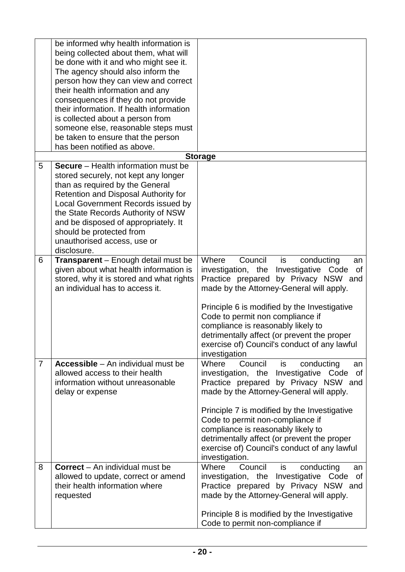|                | be informed why health information is      |                                                   |
|----------------|--------------------------------------------|---------------------------------------------------|
|                | being collected about them, what will      |                                                   |
|                | be done with it and who might see it.      |                                                   |
|                | The agency should also inform the          |                                                   |
|                | person how they can view and correct       |                                                   |
|                |                                            |                                                   |
|                | their health information and any           |                                                   |
|                | consequences if they do not provide        |                                                   |
|                | their information. If health information   |                                                   |
|                | is collected about a person from           |                                                   |
|                | someone else, reasonable steps must        |                                                   |
|                | be taken to ensure that the person         |                                                   |
|                | has been notified as above.                |                                                   |
|                |                                            | <b>Storage</b>                                    |
| 5              | <b>Secure</b> – Health information must be |                                                   |
|                | stored securely, not kept any longer       |                                                   |
|                | than as required by the General            |                                                   |
|                | Retention and Disposal Authority for       |                                                   |
|                | Local Government Records issued by         |                                                   |
|                | the State Records Authority of NSW         |                                                   |
|                | and be disposed of appropriately. It       |                                                   |
|                |                                            |                                                   |
|                | should be protected from                   |                                                   |
|                | unauthorised access, use or                |                                                   |
|                | disclosure.                                |                                                   |
| 6              | <b>Transparent</b> – Enough detail must be | Council<br>Where<br>is<br>conducting<br>an        |
|                | given about what health information is     | investigation, the<br>Investigative Code<br>οf    |
|                | stored, why it is stored and what rights   | Practice prepared by Privacy NSW and              |
|                | an individual has to access it.            | made by the Attorney-General will apply.          |
|                |                                            |                                                   |
|                |                                            | Principle 6 is modified by the Investigative      |
|                |                                            | Code to permit non compliance if                  |
|                |                                            | compliance is reasonably likely to                |
|                |                                            | detrimentally affect (or prevent the proper       |
|                |                                            | exercise of) Council's conduct of any lawful      |
|                |                                            | investigation                                     |
| $\overline{7}$ | Accessible - An individual must be         | Council<br>Where<br>is<br>conducting<br>an        |
|                | allowed access to their health             | Investigative<br>investigation, the<br>Code<br>0f |
|                | information without unreasonable           | Practice prepared by Privacy NSW and              |
|                | delay or expense                           | made by the Attorney-General will apply.          |
|                |                                            |                                                   |
|                |                                            |                                                   |
|                |                                            | Principle 7 is modified by the Investigative      |
|                |                                            | Code to permit non-compliance if                  |
|                |                                            | compliance is reasonably likely to                |
|                |                                            | detrimentally affect (or prevent the proper       |
|                |                                            | exercise of) Council's conduct of any lawful      |
|                |                                            | investigation.                                    |
| 8              | <b>Correct</b> – An individual must be     | Council<br>Where<br>conducting<br>is<br>an        |
|                | allowed to update, correct or amend        | investigation, the Investigative Code<br>0f       |
|                | their health information where             | Practice prepared by Privacy NSW and              |
|                | requested                                  | made by the Attorney-General will apply.          |
|                |                                            |                                                   |
|                |                                            | Principle 8 is modified by the Investigative      |
|                |                                            | Code to permit non-compliance if                  |
|                |                                            |                                                   |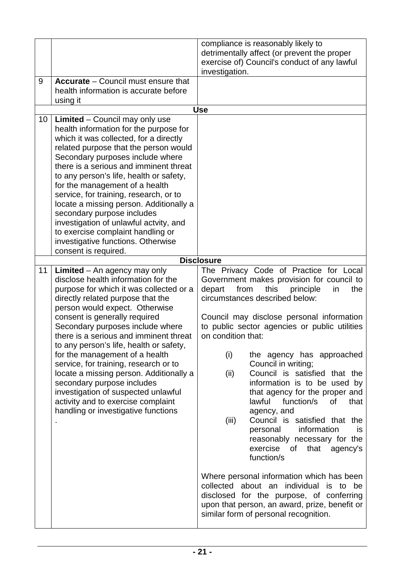|    | Accurate - Council must ensure that                                                                                                                                                                                                                                                                                                                                                                                                                                                                                                                                                                                              | compliance is reasonably likely to<br>detrimentally affect (or prevent the proper<br>exercise of) Council's conduct of any lawful<br>investigation.                                                                                                                                                                                                                                                                                                                                                                                                                                                                                                                                                                                   |
|----|----------------------------------------------------------------------------------------------------------------------------------------------------------------------------------------------------------------------------------------------------------------------------------------------------------------------------------------------------------------------------------------------------------------------------------------------------------------------------------------------------------------------------------------------------------------------------------------------------------------------------------|---------------------------------------------------------------------------------------------------------------------------------------------------------------------------------------------------------------------------------------------------------------------------------------------------------------------------------------------------------------------------------------------------------------------------------------------------------------------------------------------------------------------------------------------------------------------------------------------------------------------------------------------------------------------------------------------------------------------------------------|
| 9  | health information is accurate before<br>using it                                                                                                                                                                                                                                                                                                                                                                                                                                                                                                                                                                                |                                                                                                                                                                                                                                                                                                                                                                                                                                                                                                                                                                                                                                                                                                                                       |
|    |                                                                                                                                                                                                                                                                                                                                                                                                                                                                                                                                                                                                                                  | <b>Use</b>                                                                                                                                                                                                                                                                                                                                                                                                                                                                                                                                                                                                                                                                                                                            |
| 10 | Limited - Council may only use<br>health information for the purpose for<br>which it was collected, for a directly<br>related purpose that the person would<br>Secondary purposes include where<br>there is a serious and imminent threat<br>to any person's life, health or safety,<br>for the management of a health<br>service, for training, research, or to<br>locate a missing person. Additionally a<br>secondary purpose includes<br>investigation of unlawful actvity, and<br>to exercise complaint handling or<br>investigative functions. Otherwise<br>consent is required.                                           |                                                                                                                                                                                                                                                                                                                                                                                                                                                                                                                                                                                                                                                                                                                                       |
|    |                                                                                                                                                                                                                                                                                                                                                                                                                                                                                                                                                                                                                                  | <b>Disclosure</b>                                                                                                                                                                                                                                                                                                                                                                                                                                                                                                                                                                                                                                                                                                                     |
| 11 | <b>Limited</b> $-$ An agency may only<br>disclose health information for the<br>purpose for which it was collected or a<br>directly related purpose that the<br>person would expect. Otherwise<br>consent is generally required<br>Secondary purposes include where<br>there is a serious and imminent threat<br>to any person's life, health or safety,<br>for the management of a health<br>service, for training, research or to<br>locate a missing person. Additionally a<br>secondary purpose includes<br>investigation of suspected unlawful<br>activity and to exercise complaint<br>handling or investigative functions | The Privacy Code of Practice for Local<br>Government makes provision for council to<br>from<br>this<br>depart<br>principle<br>in<br>the<br>circumstances described below:<br>Council may disclose personal information<br>to public sector agencies or public utilities<br>on condition that:<br>(i)<br>the agency has approached<br>Council in writing;<br>Council is satisfied that the<br>(ii)<br>information is to be used by<br>that agency for the proper and<br>lawful<br>function/s<br><b>of</b><br>that<br>agency, and<br>Council is satisfied that the<br>(iii)<br>information<br>personal<br>is<br>reasonably necessary for the<br>exercise of<br>that agency's<br>function/s<br>Where personal information which has been |
|    |                                                                                                                                                                                                                                                                                                                                                                                                                                                                                                                                                                                                                                  | collected about an individual is to be<br>disclosed for the purpose, of conferring<br>upon that person, an award, prize, benefit or<br>similar form of personal recognition.                                                                                                                                                                                                                                                                                                                                                                                                                                                                                                                                                          |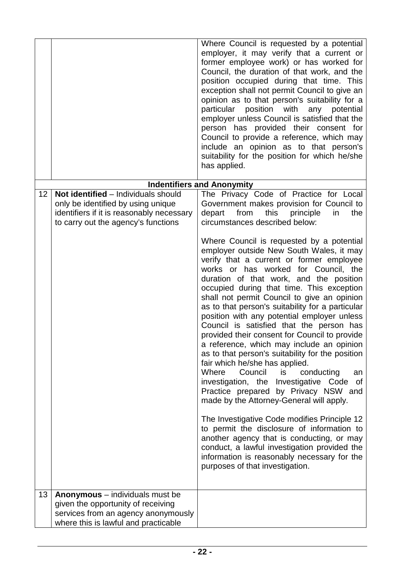|    |                                                                                                                                                               | Where Council is requested by a potential<br>employer, it may verify that a current or<br>former employee work) or has worked for<br>Council, the duration of that work, and the<br>position occupied during that time. This<br>exception shall not permit Council to give an<br>opinion as to that person's suitability for a<br>particular position with<br>any<br>potential<br>employer unless Council is satisfied that the<br>person has provided their consent for<br>Council to provide a reference, which may<br>include an opinion as to that person's<br>suitability for the position for which he/she<br>has applied.                                                                                                                                                                                                                                                                                                                                                                                                                                                                               |
|----|---------------------------------------------------------------------------------------------------------------------------------------------------------------|----------------------------------------------------------------------------------------------------------------------------------------------------------------------------------------------------------------------------------------------------------------------------------------------------------------------------------------------------------------------------------------------------------------------------------------------------------------------------------------------------------------------------------------------------------------------------------------------------------------------------------------------------------------------------------------------------------------------------------------------------------------------------------------------------------------------------------------------------------------------------------------------------------------------------------------------------------------------------------------------------------------------------------------------------------------------------------------------------------------|
|    |                                                                                                                                                               | <b>Indentifiers and Anonymity</b>                                                                                                                                                                                                                                                                                                                                                                                                                                                                                                                                                                                                                                                                                                                                                                                                                                                                                                                                                                                                                                                                              |
| 12 | Not identified - Individuals should<br>only be identified by using unique<br>identifiers if it is reasonably necessary<br>to carry out the agency's functions | The Privacy Code of Practice for Local<br>Government makes provision for Council to<br>depart<br>from<br>this<br>principle<br>in<br>the<br>circumstances described below:                                                                                                                                                                                                                                                                                                                                                                                                                                                                                                                                                                                                                                                                                                                                                                                                                                                                                                                                      |
| 13 | <b>Anonymous</b> – individuals must be                                                                                                                        | Where Council is requested by a potential<br>employer outside New South Wales, it may<br>verify that a current or former employee<br>works or has worked for Council, the<br>duration of that work, and the position<br>occupied during that time. This exception<br>shall not permit Council to give an opinion<br>as to that person's suitability for a particular<br>position with any potential employer unless<br>Council is satisfied that the person has<br>provided their consent for Council to provide<br>a reference, which may include an opinion<br>as to that person's suitability for the position<br>fair which he/she has applied.<br>Where<br>Council<br>is<br>conducting<br>an<br>investigation, the Investigative Code of<br>Practice prepared by Privacy NSW and<br>made by the Attorney-General will apply.<br>The Investigative Code modifies Principle 12<br>to permit the disclosure of information to<br>another agency that is conducting, or may<br>conduct, a lawful investigation provided the<br>information is reasonably necessary for the<br>purposes of that investigation. |
|    | given the opportunity of receiving<br>services from an agency anonymously<br>where this is lawful and practicable                                             |                                                                                                                                                                                                                                                                                                                                                                                                                                                                                                                                                                                                                                                                                                                                                                                                                                                                                                                                                                                                                                                                                                                |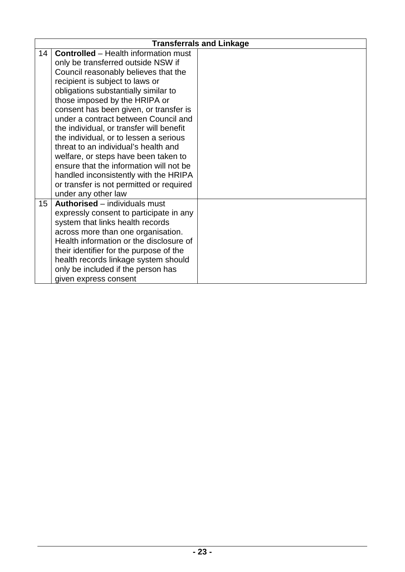|    |                                             | <b>Transferrals and Linkage</b> |
|----|---------------------------------------------|---------------------------------|
| 14 | <b>Controlled</b> – Health information must |                                 |
|    | only be transferred outside NSW if          |                                 |
|    | Council reasonably believes that the        |                                 |
|    | recipient is subject to laws or             |                                 |
|    | obligations substantially similar to        |                                 |
|    | those imposed by the HRIPA or               |                                 |
|    | consent has been given, or transfer is      |                                 |
|    | under a contract between Council and        |                                 |
|    | the individual, or transfer will benefit    |                                 |
|    | the individual, or to lessen a serious      |                                 |
|    | threat to an individual's health and        |                                 |
|    | welfare, or steps have been taken to        |                                 |
|    | ensure that the information will not be     |                                 |
|    | handled inconsistently with the HRIPA       |                                 |
|    | or transfer is not permitted or required    |                                 |
|    | under any other law                         |                                 |
| 15 | Authorised - individuals must               |                                 |
|    | expressly consent to participate in any     |                                 |
|    | system that links health records            |                                 |
|    | across more than one organisation.          |                                 |
|    | Health information or the disclosure of     |                                 |
|    | their identifier for the purpose of the     |                                 |
|    | health records linkage system should        |                                 |
|    | only be included if the person has          |                                 |
|    | given express consent                       |                                 |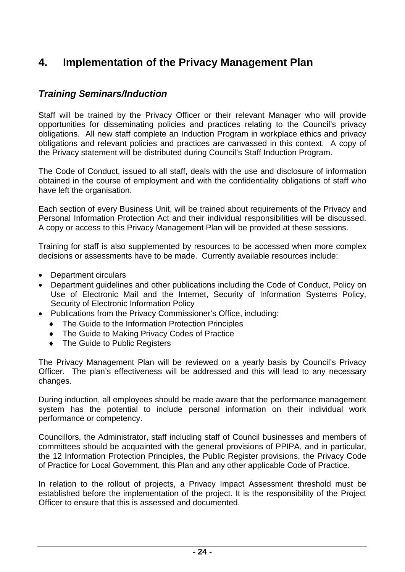# <span id="page-23-0"></span>**4. Implementation of the Privacy Management Plan**

#### <span id="page-23-1"></span>*Training Seminars/Induction*

Staff will be trained by the Privacy Officer or their relevant Manager who will provide opportunities for disseminating policies and practices relating to the Council's privacy obligations. All new staff complete an Induction Program in workplace ethics and privacy obligations and relevant policies and practices are canvassed in this context. A copy of the Privacy statement will be distributed during Council's Staff Induction Program.

The Code of Conduct, issued to all staff, deals with the use and disclosure of information obtained in the course of employment and with the confidentiality obligations of staff who have left the organisation.

Each section of every Business Unit, will be trained about requirements of the Privacy and Personal Information Protection Act and their individual responsibilities will be discussed. A copy or access to this Privacy Management Plan will be provided at these sessions.

Training for staff is also supplemented by resources to be accessed when more complex decisions or assessments have to be made. Currently available resources include:

- Department circulars
- Department guidelines and other publications including the Code of Conduct, Policy on Use of Electronic Mail and the Internet, Security of Information Systems Policy, Security of Electronic Information Policy
- Publications from the Privacy Commissioner's Office, including:
	- ♦ The Guide to the Information Protection Principles
	- ♦ The Guide to Making Privacy Codes of Practice
	- ♦ The Guide to Public Registers

The Privacy Management Plan will be reviewed on a yearly basis by Council's Privacy Officer. The plan's effectiveness will be addressed and this will lead to any necessary changes.

During induction, all employees should be made aware that the performance management system has the potential to include personal information on their individual work performance or competency.

Councillors, the Administrator, staff including staff of Council businesses and members of committees should be acquainted with the general provisions of PPIPA, and in particular, the 12 Information Protection Principles, the Public Register provisions, the Privacy Code of Practice for Local Government, this Plan and any other applicable Code of Practice.

In relation to the rollout of projects, a Privacy Impact Assessment threshold must be established before the implementation of the project. It is the responsibility of the Project Officer to ensure that this is assessed and documented.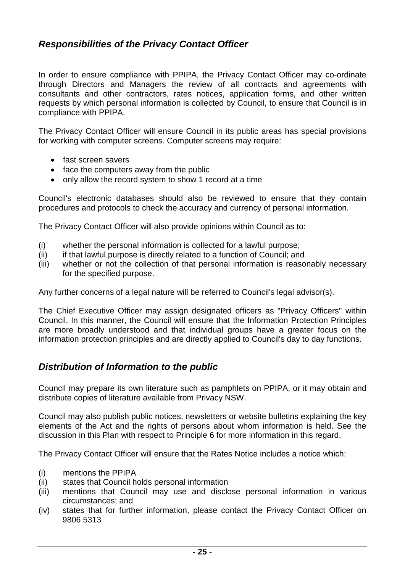## <span id="page-24-0"></span>*Responsibilities of the Privacy Contact Officer*

In order to ensure compliance with PPIPA, the Privacy Contact Officer may co-ordinate through Directors and Managers the review of all contracts and agreements with consultants and other contractors, rates notices, application forms, and other written requests by which personal information is collected by Council, to ensure that Council is in compliance with PPIPA.

The Privacy Contact Officer will ensure Council in its public areas has special provisions for working with computer screens. Computer screens may require:

- fast screen savers
- face the computers away from the public
- only allow the record system to show 1 record at a time

Council's electronic databases should also be reviewed to ensure that they contain procedures and protocols to check the accuracy and currency of personal information.

The Privacy Contact Officer will also provide opinions within Council as to:

- (i) whether the personal information is collected for a lawful purpose;
- (ii) if that lawful purpose is directly related to a function of Council; and
- (iii) whether or not the collection of that personal information is reasonably necessary for the specified purpose.

Any further concerns of a legal nature will be referred to Council's legal advisor(s).

The Chief Executive Officer may assign designated officers as "Privacy Officers" within Council. In this manner, the Council will ensure that the Information Protection Principles are more broadly understood and that individual groups have a greater focus on the information protection principles and are directly applied to Council's day to day functions.

#### <span id="page-24-1"></span>*Distribution of Information to the public*

Council may prepare its own literature such as pamphlets on PPIPA, or it may obtain and distribute copies of literature available from Privacy NSW.

Council may also publish public notices, newsletters or website bulletins explaining the key elements of the Act and the rights of persons about whom information is held. See the discussion in this Plan with respect to Principle 6 for more information in this regard.

The Privacy Contact Officer will ensure that the Rates Notice includes a notice which:

- (i) mentions the PPIPA
- (ii) states that Council holds personal information
- (iii) mentions that Council may use and disclose personal information in various circumstances; and
- (iv) states that for further information, please contact the Privacy Contact Officer on 9806 5313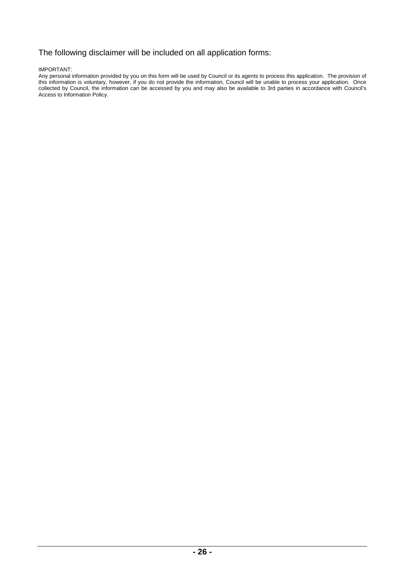#### The following disclaimer will be included on all application forms:

IMPORTANT:

Any personal information provided by you on this form will be used by Council or its agents to process this application. The provision of this information is voluntary, however, if you do not provide the information, Council will be unable to process your application. Once collected by Council, the information can be accessed by you and may also be available to 3rd parties in accordance with Council's Access to Information Policy.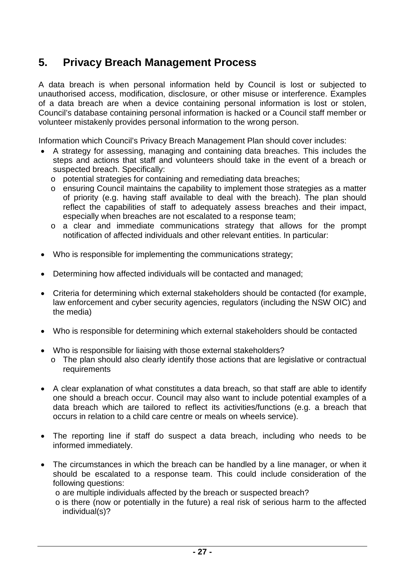# <span id="page-26-0"></span>**5. Privacy Breach Management Process**

A data breach is when personal information held by Council is lost or subjected to unauthorised access, modification, disclosure, or other misuse or interference. Examples of a data breach are when a device containing personal information is lost or stolen, Council's database containing personal information is hacked or a Council staff member or volunteer mistakenly provides personal information to the wrong person.

Information which Council's Privacy Breach Management Plan should cover includes:

- A strategy for assessing, managing and containing data breaches. This includes the steps and actions that staff and volunteers should take in the event of a breach or suspected breach. Specifically:
	- o potential strategies for containing and remediating data breaches;
	- o ensuring Council maintains the capability to implement those strategies as a matter of priority (e.g. having staff available to deal with the breach). The plan should reflect the capabilities of staff to adequately assess breaches and their impact, especially when breaches are not escalated to a response team;
	- o a clear and immediate communications strategy that allows for the prompt notification of affected individuals and other relevant entities. In particular:
- Who is responsible for implementing the communications strategy;
- Determining how affected individuals will be contacted and managed;
- Criteria for determining which external stakeholders should be contacted (for example, law enforcement and cyber security agencies, regulators (including the NSW OIC) and the media)
- Who is responsible for determining which external stakeholders should be contacted
- Who is responsible for liaising with those external stakeholders?
	- o The plan should also clearly identify those actions that are legislative or contractual requirements
- A clear explanation of what constitutes a data breach, so that staff are able to identify one should a breach occur. Council may also want to include potential examples of a data breach which are tailored to reflect its activities/functions (e.g. a breach that occurs in relation to a child care centre or meals on wheels service).
- The reporting line if staff do suspect a data breach, including who needs to be informed immediately.
- The circumstances in which the breach can be handled by a line manager, or when it should be escalated to a response team. This could include consideration of the following questions:
	- o are multiple individuals affected by the breach or suspected breach?
	- o is there (now or potentially in the future) a real risk of serious harm to the affected individual(s)?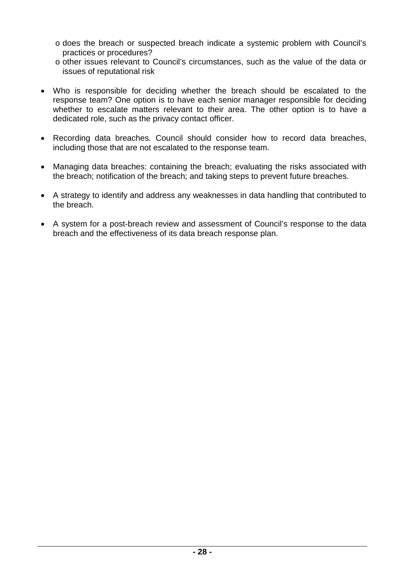- o does the breach or suspected breach indicate a systemic problem with Council's practices or procedures?
- o other issues relevant to Council's circumstances, such as the value of the data or issues of reputational risk
- Who is responsible for deciding whether the breach should be escalated to the response team? One option is to have each senior manager responsible for deciding whether to escalate matters relevant to their area. The other option is to have a dedicated role, such as the privacy contact officer.
- Recording data breaches. Council should consider how to record data breaches, including those that are not escalated to the response team.
- Managing data breaches: containing the breach; evaluating the risks associated with the breach; notification of the breach; and taking steps to prevent future breaches.
- A strategy to identify and address any weaknesses in data handling that contributed to the breach.
- A system for a post-breach review and assessment of Council's response to the data breach and the effectiveness of its data breach response plan.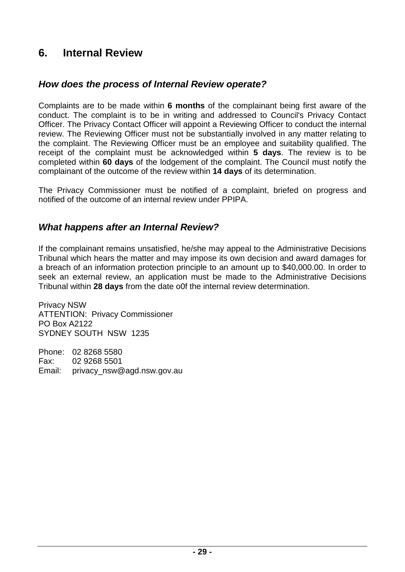# <span id="page-28-0"></span>**6. Internal Review**

#### <span id="page-28-1"></span>*How does the process of Internal Review operate?*

Complaints are to be made within **6 months** of the complainant being first aware of the conduct. The complaint is to be in writing and addressed to Council's Privacy Contact Officer. The Privacy Contact Officer will appoint a Reviewing Officer to conduct the internal review. The Reviewing Officer must not be substantially involved in any matter relating to the complaint. The Reviewing Officer must be an employee and suitability qualified. The receipt of the complaint must be acknowledged within **5 days**. The review is to be completed within **60 days** of the lodgement of the complaint. The Council must notify the complainant of the outcome of the review within **14 days** of its determination.

The Privacy Commissioner must be notified of a complaint, briefed on progress and notified of the outcome of an internal review under PPIPA.

## <span id="page-28-2"></span>*What happens after an Internal Review?*

If the complainant remains unsatisfied, he/she may appeal to the Administrative Decisions Tribunal which hears the matter and may impose its own decision and award damages for a breach of an information protection principle to an amount up to \$40,000.00. In order to seek an external review, an application must be made to the Administrative Decisions Tribunal within **28 days** from the date o0f the internal review determination.

Privacy NSW ATTENTION: Privacy Commissioner PO Box A2122 SYDNEY SOUTH NSW 1235

Phone: 02 8268 5580 Fax: 02 9268 5501 Email: privacy\_nsw@agd.nsw.gov.au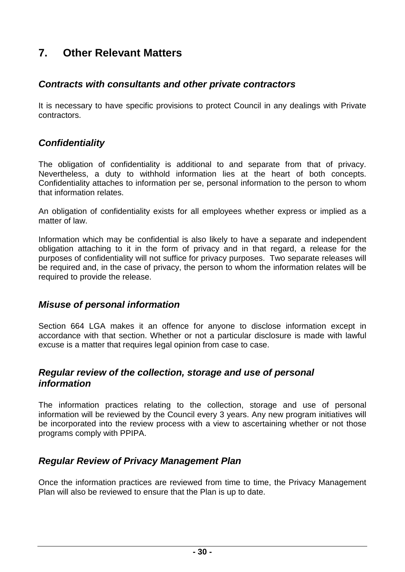# <span id="page-29-0"></span>**7. Other Relevant Matters**

#### <span id="page-29-1"></span>*Contracts with consultants and other private contractors*

It is necessary to have specific provisions to protect Council in any dealings with Private contractors.

#### <span id="page-29-2"></span>*Confidentiality*

The obligation of confidentiality is additional to and separate from that of privacy. Nevertheless, a duty to withhold information lies at the heart of both concepts. Confidentiality attaches to information per se, personal information to the person to whom that information relates.

An obligation of confidentiality exists for all employees whether express or implied as a matter of law.

Information which may be confidential is also likely to have a separate and independent obligation attaching to it in the form of privacy and in that regard, a release for the purposes of confidentiality will not suffice for privacy purposes. Two separate releases will be required and, in the case of privacy, the person to whom the information relates will be required to provide the release.

#### <span id="page-29-3"></span>*Misuse of personal information*

Section 664 LGA makes it an offence for anyone to disclose information except in accordance with that section. Whether or not a particular disclosure is made with lawful excuse is a matter that requires legal opinion from case to case.

#### <span id="page-29-4"></span>*Regular review of the collection, storage and use of personal information*

The information practices relating to the collection, storage and use of personal information will be reviewed by the Council every 3 years. Any new program initiatives will be incorporated into the review process with a view to ascertaining whether or not those programs comply with PPIPA.

## <span id="page-29-5"></span>*Regular Review of Privacy Management Plan*

Once the information practices are reviewed from time to time, the Privacy Management Plan will also be reviewed to ensure that the Plan is up to date.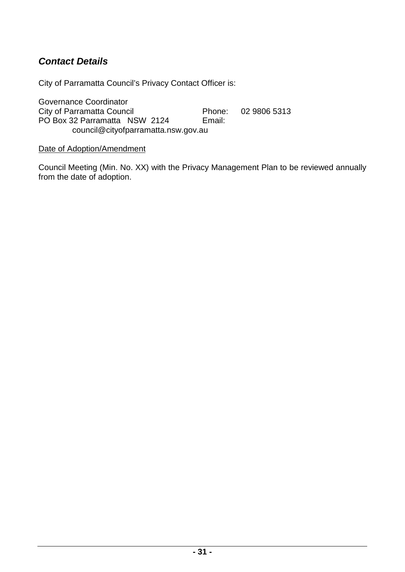# <span id="page-30-0"></span>*Contact Details*

City of Parramatta Council's Privacy Contact Officer is:

Governance Coordinator City of Parramatta Council Phone: 02 9806 5313 PO Box 32 Parramatta NSW 2124 Email: council@cityofparramatta.nsw.gov.au

#### Date of Adoption/Amendment

Council Meeting (Min. No. XX) with the Privacy Management Plan to be reviewed annually from the date of adoption.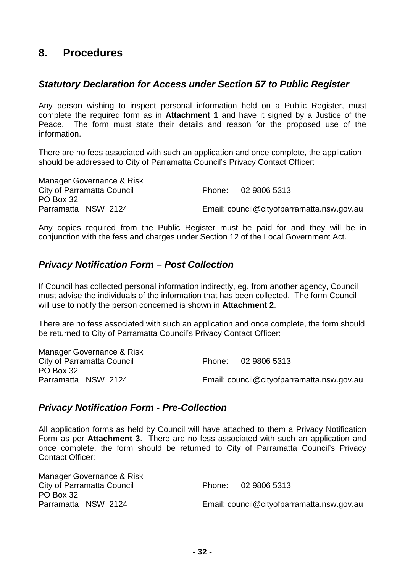## <span id="page-31-0"></span>**8. Procedures**

#### <span id="page-31-1"></span>*Statutory Declaration for Access under Section 57 to Public Register*

Any person wishing to inspect personal information held on a Public Register, must complete the required form as in **Attachment 1** and have it signed by a Justice of the Peace. The form must state their details and reason for the proposed use of the information.

There are no fees associated with such an application and once complete, the application should be addressed to City of Parramatta Council's Privacy Contact Officer:

Manager Governance & Risk City of Parramatta Council **Phone:** 02 9806 5313 PO Box 32<br>Parramatta NSW 2124 Email: council@cityofparramatta.nsw.gov.au

Any copies required from the Public Register must be paid for and they will be in conjunction with the fess and charges under Section 12 of the Local Government Act.

## <span id="page-31-2"></span>*Privacy Notification Form – Post Collection*

If Council has collected personal information indirectly, eg. from another agency, Council must advise the individuals of the information that has been collected. The form Council will use to notify the person concerned is shown in **Attachment 2**.

There are no fess associated with such an application and once complete, the form should be returned to City of Parramatta Council's Privacy Contact Officer:

|                     | Manager Governance & Risk  |                                            |
|---------------------|----------------------------|--------------------------------------------|
|                     | City of Parramatta Council | Phone: 02 9806 5313                        |
| PO Box 32           |                            |                                            |
| Parramatta NSW 2124 |                            | Email: council@cityofparramatta.nsw.gov.au |
|                     |                            |                                            |

## <span id="page-31-3"></span>*Privacy Notification Form - Pre-Collection*

All application forms as held by Council will have attached to them a Privacy Notification Form as per **Attachment 3**. There are no fess associated with such an application and once complete, the form should be returned to City of Parramatta Council's Privacy Contact Officer:

| Manager Governance & Risk  |                                            |
|----------------------------|--------------------------------------------|
| City of Parramatta Council | Phone: 02 9806 5313                        |
| PO Box 32                  |                                            |
| Parramatta NSW 2124        | Email: council@cityofparramatta.nsw.gov.au |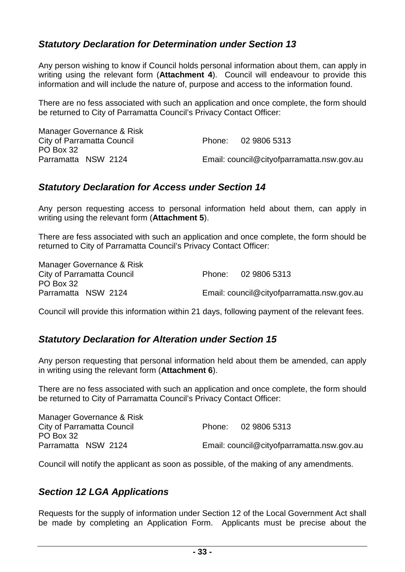## <span id="page-32-0"></span>*Statutory Declaration for Determination under Section 13*

Any person wishing to know if Council holds personal information about them, can apply in writing using the relevant form (**Attachment 4**). Council will endeavour to provide this information and will include the nature of, purpose and access to the information found.

There are no fess associated with such an application and once complete, the form should be returned to City of Parramatta Council's Privacy Contact Officer:

| Manager Governance & Risk  |                                            |
|----------------------------|--------------------------------------------|
| City of Parramatta Council | Phone: 02 9806 5313                        |
| PO Box 32                  |                                            |
| Parramatta NSW 2124        | Email: council@cityofparramatta.nsw.gov.au |

## <span id="page-32-1"></span>*Statutory Declaration for Access under Section 14*

Any person requesting access to personal information held about them, can apply in writing using the relevant form (**Attachment 5**).

There are fess associated with such an application and once complete, the form should be returned to City of Parramatta Council's Privacy Contact Officer:

Manager Governance & Risk City of Parramatta Council **Phone:** 02 9806 5313 PO Box 32 Parramatta NSW 2124 Email: council@cityofparramatta.nsw.gov.au

Council will provide this information within 21 days, following payment of the relevant fees.

## <span id="page-32-2"></span>*Statutory Declaration for Alteration under Section 15*

Any person requesting that personal information held about them be amended, can apply in writing using the relevant form (**Attachment 6**).

There are no fess associated with such an application and once complete, the form should be returned to City of Parramatta Council's Privacy Contact Officer:

| Phone: 02 9806 5313                        |
|--------------------------------------------|
|                                            |
| Email: council@cityofparramatta.nsw.gov.au |
|                                            |

Council will notify the applicant as soon as possible, of the making of any amendments.

## <span id="page-32-3"></span>*Section 12 LGA Applications*

Requests for the supply of information under Section 12 of the Local Government Act shall be made by completing an Application Form. Applicants must be precise about the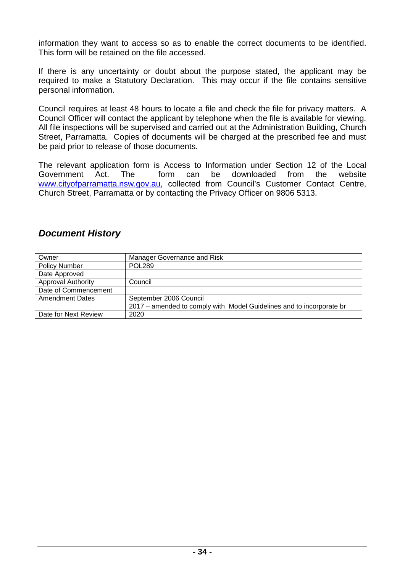information they want to access so as to enable the correct documents to be identified. This form will be retained on the file accessed.

If there is any uncertainty or doubt about the purpose stated, the applicant may be required to make a Statutory Declaration. This may occur if the file contains sensitive personal information.

Council requires at least 48 hours to locate a file and check the file for privacy matters. A Council Officer will contact the applicant by telephone when the file is available for viewing. All file inspections will be supervised and carried out at the Administration Building, Church Street, Parramatta. Copies of documents will be charged at the prescribed fee and must be paid prior to release of those documents.

The relevant application form is Access to Information under Section 12 of the Local Government Act. The form can be downloaded from the website [www.cityofparramatta.nsw.gov.au,](http://www.parracity.nsw.gov.au/) collected from Council's Customer Contact Centre, Church Street, Parramatta or by contacting the Privacy Officer on 9806 5313.

#### <span id="page-33-0"></span>*Document History*

| Owner                     | Manager Governance and Risk                                          |
|---------------------------|----------------------------------------------------------------------|
| <b>Policy Number</b>      | <b>POL289</b>                                                        |
| Date Approved             |                                                                      |
| <b>Approval Authority</b> | Council                                                              |
| Date of Commencement      |                                                                      |
| <b>Amendment Dates</b>    | September 2006 Council                                               |
|                           | 2017 – amended to comply with Model Guidelines and to incorporate br |
| Date for Next Review      | 2020                                                                 |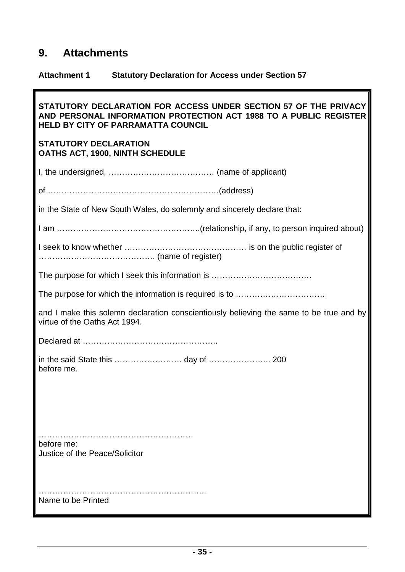# <span id="page-34-0"></span>**9. Attachments**

# **Attachment 1 Statutory Declaration for Access under Section 57**

| STATUTORY DECLARATION FOR ACCESS UNDER SECTION 57 OF THE PRIVACY<br>AND PERSONAL INFORMATION PROTECTION ACT 1988 TO A PUBLIC REGISTER<br>HELD BY CITY OF PARRAMATTA COUNCIL |
|-----------------------------------------------------------------------------------------------------------------------------------------------------------------------------|
| <b>STATUTORY DECLARATION</b><br><b>OATHS ACT, 1900, NINTH SCHEDULE</b>                                                                                                      |
|                                                                                                                                                                             |
|                                                                                                                                                                             |
| in the State of New South Wales, do solemnly and sincerely declare that:                                                                                                    |
|                                                                                                                                                                             |
|                                                                                                                                                                             |
|                                                                                                                                                                             |
|                                                                                                                                                                             |
| and I make this solemn declaration conscientiously believing the same to be true and by<br>virtue of the Oaths Act 1994.                                                    |
|                                                                                                                                                                             |
| before me.                                                                                                                                                                  |
|                                                                                                                                                                             |
| before me:<br>Justice of the Peace/Solicitor                                                                                                                                |
| Name to be Printed                                                                                                                                                          |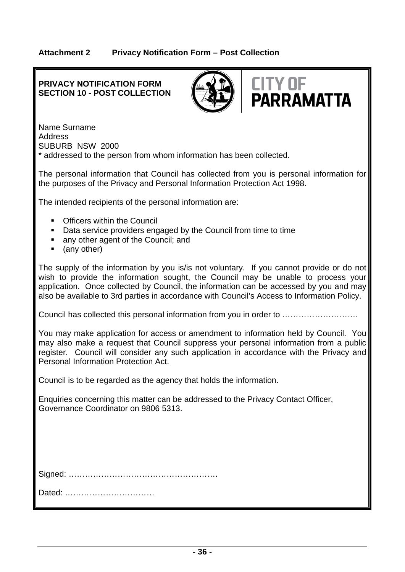#### **Attachment 2 Privacy Notification Form – Post Collection**

#### **PRIVACY NOTIFICATION FORM SECTION 10 - POST COLLECTION**





Name Surname Address SUBURB NSW 2000 \* addressed to the person from whom information has been collected.

The personal information that Council has collected from you is personal information for the purposes of the Privacy and Personal Information Protection Act 1998.

The intended recipients of the personal information are:

- **Officers within the Council**
- Data service providers engaged by the Council from time to time
- any other agent of the Council; and
- (any other)

The supply of the information by you is/is not voluntary. If you cannot provide or do not wish to provide the information sought, the Council may be unable to process your application. Once collected by Council, the information can be accessed by you and may also be available to 3rd parties in accordance with Council's Access to Information Policy.

Council has collected this personal information from you in order to ……………………….

You may make application for access or amendment to information held by Council. You may also make a request that Council suppress your personal information from a public register. Council will consider any such application in accordance with the Privacy and Personal Information Protection Act.

Council is to be regarded as the agency that holds the information.

Enquiries concerning this matter can be addressed to the Privacy Contact Officer, Governance Coordinator on 9806 5313.

Dated: ……………………………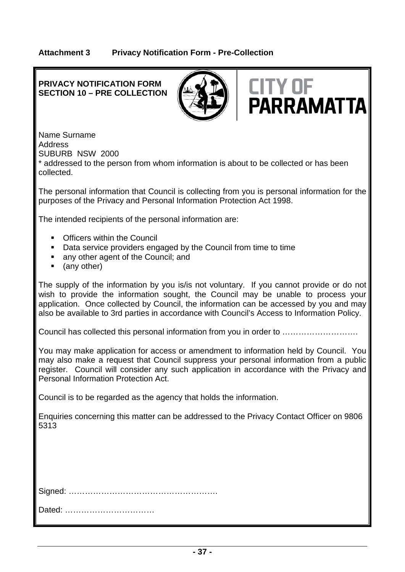#### **PRIVACY NOTIFICATION FORM SECTION 10 – PRE COLLECTION**





Name Surname Address SUBURB NSW 2000

\* addressed to the person from whom information is about to be collected or has been collected.

The personal information that Council is collecting from you is personal information for the purposes of the Privacy and Personal Information Protection Act 1998.

The intended recipients of the personal information are:

- **Officers within the Council**
- Data service providers engaged by the Council from time to time
- any other agent of the Council; and
- (any other)

The supply of the information by you is/is not voluntary. If you cannot provide or do not wish to provide the information sought, the Council may be unable to process your application. Once collected by Council, the information can be accessed by you and may also be available to 3rd parties in accordance with Council's Access to Information Policy.

Council has collected this personal information from you in order to ……………………….

You may make application for access or amendment to information held by Council. You may also make a request that Council suppress your personal information from a public register. Council will consider any such application in accordance with the Privacy and Personal Information Protection Act.

Council is to be regarded as the agency that holds the information.

Enquiries concerning this matter can be addressed to the Privacy Contact Officer on 9806 5313

Dated: ……………………………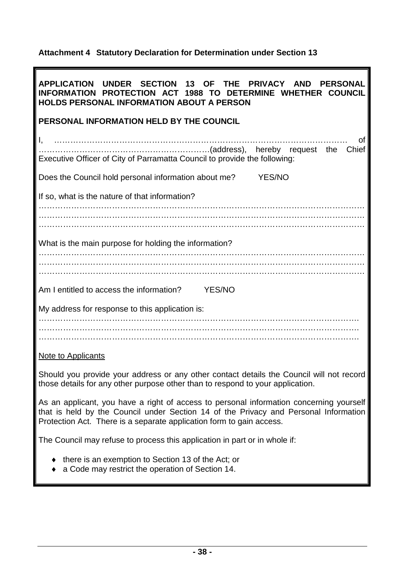#### **Attachment 4 Statutory Declaration for Determination under Section 13**

| APPLICATION UNDER SECTION 13 OF THE PRIVACY AND PERSONAL<br>INFORMATION PROTECTION ACT 1988 TO DETERMINE WHETHER COUNCIL<br><b>HOLDS PERSONAL INFORMATION ABOUT A PERSON</b>    |
|---------------------------------------------------------------------------------------------------------------------------------------------------------------------------------|
| PERSONAL INFORMATION HELD BY THE COUNCIL                                                                                                                                        |
| Ωf<br>Executive Officer of City of Parramatta Council to provide the following:                                                                                                 |
| Does the Council hold personal information about me? YES/NO                                                                                                                     |
| If so, what is the nature of that information?                                                                                                                                  |
|                                                                                                                                                                                 |
|                                                                                                                                                                                 |
| What is the main purpose for holding the information?                                                                                                                           |
|                                                                                                                                                                                 |
| Am I entitled to access the information? YES/NO                                                                                                                                 |
| My address for response to this application is:                                                                                                                                 |
|                                                                                                                                                                                 |
|                                                                                                                                                                                 |
| Note to Applicants                                                                                                                                                              |
| Should you provide your address or any other contact details the Council will not record<br>those details for any other purpose other than to respond to your application.      |
| As an applicant, you have a right of access to personal information concerning yourself<br>that is held by the Council under Section 14 of the Privacy and Personal Information |

The Council may refuse to process this application in part or in whole if:

Protection Act. There is a separate application form to gain access.

- ♦ there is an exemption to Section 13 of the Act; or
- ♦ a Code may restrict the operation of Section 14.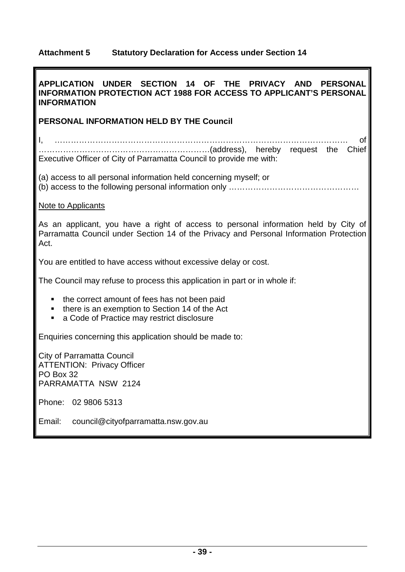# **Attachment 5 Statutory Declaration for Access under Section 14**

**I** 

| APPLICATION UNDER SECTION<br>14 OF THE PRIVACY AND<br><b>PERSONAL</b><br><b>INFORMATION PROTECTION ACT 1988 FOR ACCESS TO APPLICANT'S PERSONAL</b><br><b>INFORMATION</b>              |
|---------------------------------------------------------------------------------------------------------------------------------------------------------------------------------------|
| PERSONAL INFORMATION HELD BY THE Council                                                                                                                                              |
| Ι,<br>Ωt<br>Executive Officer of City of Parramatta Council to provide me with:                                                                                                       |
| (a) access to all personal information held concerning myself; or                                                                                                                     |
| Note to Applicants                                                                                                                                                                    |
| As an applicant, you have a right of access to personal information held by City of<br>Parramatta Council under Section 14 of the Privacy and Personal Information Protection<br>Act. |
| You are entitled to have access without excessive delay or cost.                                                                                                                      |
| The Council may refuse to process this application in part or in whole if:                                                                                                            |
| the correct amount of fees has not been paid<br>п<br>there is an exemption to Section 14 of the Act<br>$\blacksquare$<br>a Code of Practice may restrict disclosure<br>$\blacksquare$ |
| Enquiries concerning this application should be made to:                                                                                                                              |
| <b>City of Parramatta Council</b><br><b>ATTENTION: Privacy Officer</b><br>PO Box 32<br>PARRAMATTA NSW 2124                                                                            |
| Phone: 02 9806 5313                                                                                                                                                                   |
| Email:<br>council@cityofparramatta.nsw.gov.au                                                                                                                                         |